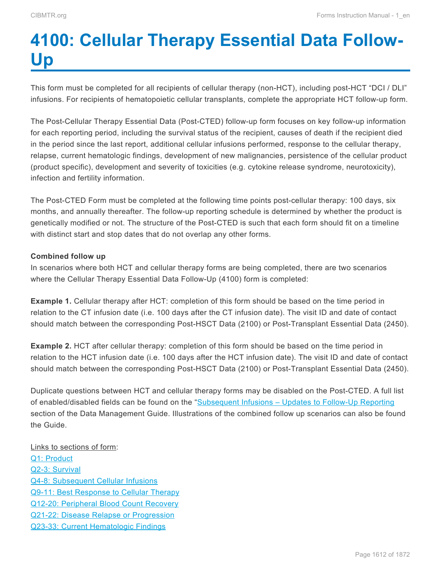# <span id="page-0-0"></span>**4100: Cellular Therapy Essential Data Follow-Up**

This form must be completed for all recipients of cellular therapy (non-HCT), including post-HCT "DCI / DLI" infusions. For recipients of hematopoietic cellular transplants, complete the appropriate HCT follow-up form.

The Post-Cellular Therapy Essential Data (Post-CTED) follow-up form focuses on key follow-up information for each reporting period, including the survival status of the recipient, causes of death if the recipient died in the period since the last report, additional cellular infusions performed, response to the cellular therapy, relapse, current hematologic findings, development of new malignancies, persistence of the cellular product (product specific), development and severity of toxicities (e.g. cytokine release syndrome, neurotoxicity), infection and fertility information.

The Post-CTED Form must be completed at the following time points post-cellular therapy: 100 days, six months, and annually thereafter. The follow-up reporting schedule is determined by whether the product is genetically modified or not. The structure of the Post-CTED is such that each form should fit on a timeline with distinct start and stop dates that do not overlap any other forms.

### **Combined follow up**

In scenarios where both HCT and cellular therapy forms are being completed, there are two scenarios where the Cellular Therapy Essential Data Follow-Up (4100) form is completed:

**Example 1.** Cellular therapy after HCT: completion of this form should be based on the time period in relation to the CT infusion date (i.e. 100 days after the CT infusion date). The visit ID and date of contact should match between the corresponding Post-HSCT Data (2100) or Post-Transplant Essential Data (2450).

**Example 2.** HCT after cellular therapy: completion of this form should be based on the time period in relation to the HCT infusion date (i.e. 100 days after the HCT infusion date). The visit ID and date of contact should match between the corresponding Post-HSCT Data (2100) or Post-Transplant Essential Data (2450).

Duplicate questions between HCT and cellular therapy forms may be disabled on the Post-CTED. A full list of enabled/disabled fields can be found on the "[Subsequent Infusions – Updates to Follow-Up Reporting](https://www.manula.com/manuals/cibmtr/training-and-reference/1/en/topic/getting-started%E2%80%9D) section of the Data Management Guide. Illustrations of the combined follow up scenarios can also be found the Guide.

Links to sections of form: [Q1: Product](#page-2-0) [Q2-3: Survival](#page-3-0) [Q4-8: Subsequent Cellular Infusions](#page-7-0) [Q9-11: Best Response to Cellular Therapy](#page-10-0) [Q12-20: Peripheral Blood Count Recovery](#page-13-0) [Q21-22: Disease Relapse or Progression](#page-21-0) [Q23-33: Current Hematologic Findings](#page-22-0)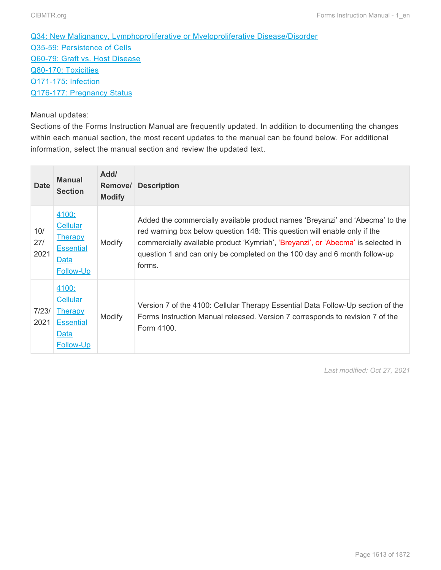[Q34: New Malignancy, Lymphoproliferative or Myeloproliferative Disease/Disorder](#page-24-0) [Q35-59: Persistence of Cells](#page-26-0) [Q60-79: Graft vs. Host Disease](#page-30-0) [Q80-170: Toxicities](#page-43-0) [Q171-175: Infection](#page-58-0) [Q176-177: Pregnancy Status](#page-62-0)

### Manual updates:

Sections of the Forms Instruction Manual are frequently updated. In addition to documenting the changes within each manual section, the most recent updates to the manual can be found below. For additional information, select the manual section and review the updated text.

| <b>Date</b>        | <b>Manual</b><br><b>Section</b>                                              | Add/<br>Remove/<br><b>Modify</b> | <b>Description</b>                                                                                                                                                                                                                                                                                                                    |
|--------------------|------------------------------------------------------------------------------|----------------------------------|---------------------------------------------------------------------------------------------------------------------------------------------------------------------------------------------------------------------------------------------------------------------------------------------------------------------------------------|
| 10/<br>27/<br>2021 | 4100:<br>Cellular<br><b>Therapy</b><br><b>Essential</b><br>Data<br>Follow-Up | Modify                           | Added the commercially available product names 'Breyanzi' and 'Abecma' to the<br>red warning box below question 148: This question will enable only if the<br>commercially available product 'Kymriah', 'Breyanzi', or 'Abecma' is selected in<br>question 1 and can only be completed on the 100 day and 6 month follow-up<br>forms. |
| 7/23/<br>2021      | 4100:<br>Cellular<br><b>Therapy</b><br><b>Essential</b><br>Data<br>Follow-Up | Modify                           | Version 7 of the 4100: Cellular Therapy Essential Data Follow-Up section of the<br>Forms Instruction Manual released. Version 7 corresponds to revision 7 of the<br>Form 4100.                                                                                                                                                        |

*Last modified: Oct 27, 2021*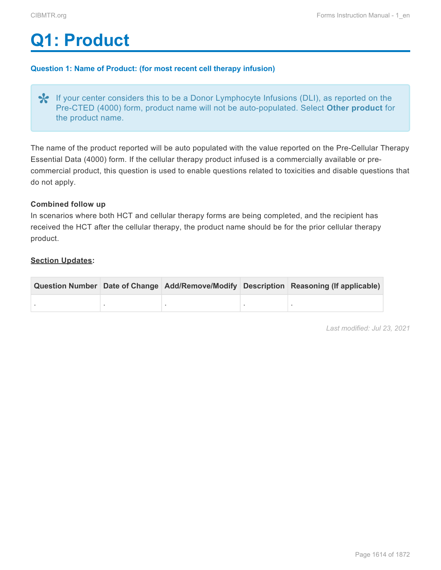# <span id="page-2-0"></span>**Q1: Product**

### **Question 1: Name of Product: (for most recent cell therapy infusion)**

◆ If your center considers this to be a Donor Lymphocyte Infusions (DLI), as reported on the Pre-CTED (4000) form, product name will not be auto-populated. Select Other product for the product name. Pre-CTED (4000) form, product name will not be auto-populated. Select **Other product** for the product name.

The name of the product reported will be auto populated with the value reported on the Pre-Cellular Therapy Essential Data (4000) form. If the cellular therapy product infused is a commercially available or precommercial product, this question is used to enable questions related to toxicities and disable questions that do not apply.

#### **Combined follow up**

In scenarios where both HCT and cellular therapy forms are being completed, and the recipient has received the HCT after the cellular therapy, the product name should be for the prior cellular therapy product.

#### **Section Updates:**

|  |  | Question Number Date of Change Add/Remove/Modify Description Reasoning (If applicable) |
|--|--|----------------------------------------------------------------------------------------|
|  |  |                                                                                        |

*Last modified: Jul 23, 2021*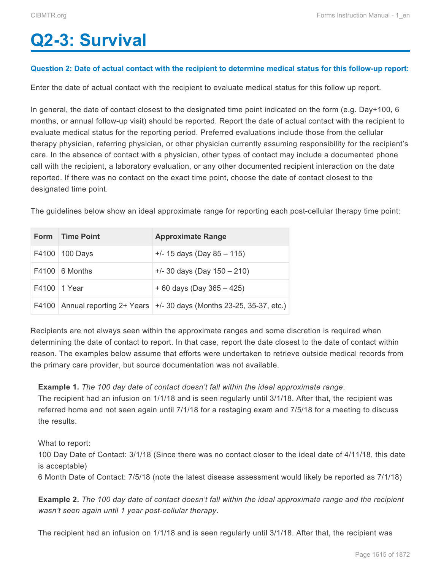# <span id="page-3-0"></span>**Q2-3: Survival**

#### **Question 2: Date of actual contact with the recipient to determine medical status for this follow-up report:**

Enter the date of actual contact with the recipient to evaluate medical status for this follow up report.

In general, the date of contact closest to the designated time point indicated on the form (e.g. Day+100, 6 months, or annual follow-up visit) should be reported. Report the date of actual contact with the recipient to evaluate medical status for the reporting period. Preferred evaluations include those from the cellular therapy physician, referring physician, or other physician currently assuming responsibility for the recipient's care. In the absence of contact with a physician, other types of contact may include a documented phone call with the recipient, a laboratory evaluation, or any other documented recipient interaction on the date reported. If there was no contact on the exact time point, choose the date of contact closest to the designated time point.

The guidelines below show an ideal approximate range for reporting each post-cellular therapy time point:

| Form Time Point       | <b>Approximate Range</b>                                                        |
|-----------------------|---------------------------------------------------------------------------------|
| F4100   100 Days      | $+/- 15$ days (Day 85 - 115)                                                    |
| $F4100 \mid 6$ Months | $+/-$ 30 days (Day 150 - 210)                                                   |
| F4100 1 Year          | $+60$ days (Day 365 - 425)                                                      |
|                       | F4100   Annual reporting $2+$ Years   $+/-$ 30 days (Months 23-25, 35-37, etc.) |

Recipients are not always seen within the approximate ranges and some discretion is required when determining the date of contact to report. In that case, report the date closest to the date of contact within reason. The examples below assume that efforts were undertaken to retrieve outside medical records from the primary care provider, but source documentation was not available.

#### **Example 1.** *The 100 day date of contact doesn't fall within the ideal approximate range*.

The recipient had an infusion on 1/1/18 and is seen regularly until 3/1/18. After that, the recipient was referred home and not seen again until 7/1/18 for a restaging exam and 7/5/18 for a meeting to discuss the results.

What to report:

100 Day Date of Contact: 3/1/18 (Since there was no contact closer to the ideal date of 4/11/18, this date is acceptable)

6 Month Date of Contact: 7/5/18 (note the latest disease assessment would likely be reported as 7/1/18)

**Example 2.** *The 100 day date of contact doesn't fall within the ideal approximate range and the recipient wasn't seen again until 1 year post-cellular therapy*.

The recipient had an infusion on 1/1/18 and is seen regularly until 3/1/18. After that, the recipient was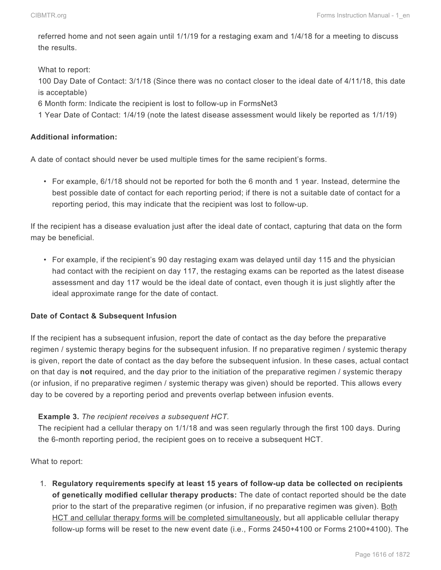referred home and not seen again until 1/1/19 for a restaging exam and 1/4/18 for a meeting to discuss the results.

What to report:

100 Day Date of Contact: 3/1/18 (Since there was no contact closer to the ideal date of 4/11/18, this date is acceptable)

6 Month form: Indicate the recipient is lost to follow-up in FormsNet3

1 Year Date of Contact: 1/4/19 (note the latest disease assessment would likely be reported as 1/1/19)

# **Additional information:**

A date of contact should never be used multiple times for the same recipient's forms.

• For example, 6/1/18 should not be reported for both the 6 month and 1 year. Instead, determine the best possible date of contact for each reporting period; if there is not a suitable date of contact for a reporting period, this may indicate that the recipient was lost to follow-up.

If the recipient has a disease evaluation just after the ideal date of contact, capturing that data on the form may be beneficial.

• For example, if the recipient's 90 day restaging exam was delayed until day 115 and the physician had contact with the recipient on day 117, the restaging exams can be reported as the latest disease assessment and day 117 would be the ideal date of contact, even though it is just slightly after the ideal approximate range for the date of contact.

### **Date of Contact & Subsequent Infusion**

If the recipient has a subsequent infusion, report the date of contact as the day before the preparative regimen / systemic therapy begins for the subsequent infusion. If no preparative regimen / systemic therapy is given, report the date of contact as the day before the subsequent infusion. In these cases, actual contact on that day is **not** required, and the day prior to the initiation of the preparative regimen / systemic therapy (or infusion, if no preparative regimen / systemic therapy was given) should be reported. This allows every day to be covered by a reporting period and prevents overlap between infusion events.

### **Example 3.** *The recipient receives a subsequent HCT.*

The recipient had a cellular therapy on 1/1/18 and was seen regularly through the first 100 days. During the 6-month reporting period, the recipient goes on to receive a subsequent HCT.

What to report:

1. **Regulatory requirements specify at least 15 years of follow-up data be collected on recipients of genetically modified cellular therapy products:** The date of contact reported should be the date prior to the start of the preparative regimen (or infusion, if no preparative regimen was given). Both HCT and cellular therapy forms will be completed simultaneously, but all applicable cellular therapy follow-up forms will be reset to the new event date (i.e., Forms 2450+4100 or Forms 2100+4100). The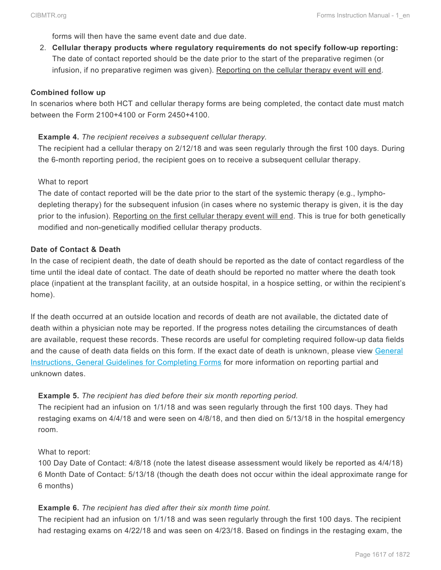forms will then have the same event date and due date.

2. **Cellular therapy products where regulatory requirements do not specify follow-up reporting:** The date of contact reported should be the date prior to the start of the preparative regimen (or infusion, if no preparative regimen was given). Reporting on the cellular therapy event will end.

#### **Combined follow up**

In scenarios where both HCT and cellular therapy forms are being completed, the contact date must match between the Form 2100+4100 or Form 2450+4100.

#### **Example 4.** *The recipient receives a subsequent cellular therapy.*

The recipient had a cellular therapy on 2/12/18 and was seen regularly through the first 100 days. During the 6-month reporting period, the recipient goes on to receive a subsequent cellular therapy.

#### What to report

The date of contact reported will be the date prior to the start of the systemic therapy (e.g., lymphodepleting therapy) for the subsequent infusion (in cases where no systemic therapy is given, it is the day prior to the infusion). Reporting on the first cellular therapy event will end. This is true for both genetically modified and non-genetically modified cellular therapy products.

#### **Date of Contact & Death**

In the case of recipient death, the date of death should be reported as the date of contact regardless of the time until the ideal date of contact. The date of death should be reported no matter where the death took place (inpatient at the transplant facility, at an outside hospital, in a hospice setting, or within the recipient's home).

If the death occurred at an outside location and records of death are not available, the dictated date of death within a physician note may be reported. If the progress notes detailing the circumstances of death are available, request these records. These records are useful for completing required follow-up data fields and the cause of death data fields on this form. If the exact date of death is unknown, please view General Instructions, General Guidelines for Completing Forms for more information on reporting partial and unknown dates.

### **Example 5.** *The recipient has died before their six month reporting period.*

The recipient had an infusion on 1/1/18 and was seen regularly through the first 100 days. They had restaging exams on 4/4/18 and were seen on 4/8/18, and then died on 5/13/18 in the hospital emergency room.

#### What to report:

100 Day Date of Contact: 4/8/18 (note the latest disease assessment would likely be reported as 4/4/18) 6 Month Date of Contact: 5/13/18 (though the death does not occur within the ideal approximate range for 6 months)

#### **Example 6.** *The recipient has died after their six month time point.*

The recipient had an infusion on 1/1/18 and was seen regularly through the first 100 days. The recipient had restaging exams on 4/22/18 and was seen on 4/23/18. Based on findings in the restaging exam, the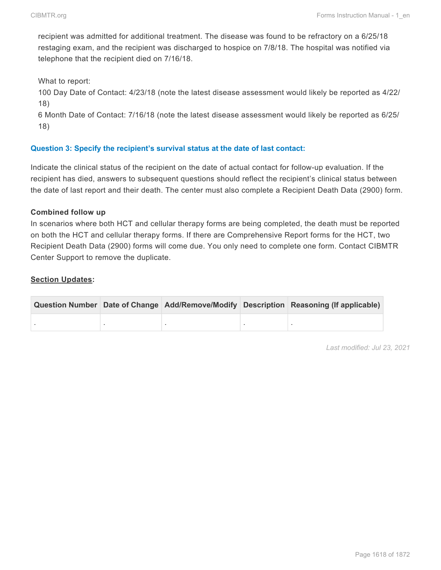recipient was admitted for additional treatment. The disease was found to be refractory on a 6/25/18 restaging exam, and the recipient was discharged to hospice on 7/8/18. The hospital was notified via telephone that the recipient died on 7/16/18.

What to report:

100 Day Date of Contact: 4/23/18 (note the latest disease assessment would likely be reported as 4/22/ 18)

6 Month Date of Contact: 7/16/18 (note the latest disease assessment would likely be reported as 6/25/ 18)

### **Question 3: Specify the recipient's survival status at the date of last contact:**

Indicate the clinical status of the recipient on the date of actual contact for follow-up evaluation. If the recipient has died, answers to subsequent questions should reflect the recipient's clinical status between the date of last report and their death. The center must also complete a Recipient Death Data (2900) form.

#### **Combined follow up**

In scenarios where both HCT and cellular therapy forms are being completed, the death must be reported on both the HCT and cellular therapy forms. If there are Comprehensive Report forms for the HCT, two Recipient Death Data (2900) forms will come due. You only need to complete one form. Contact CIBMTR Center Support to remove the duplicate.

#### **Section Updates:**

|  |  | Question Number Date of Change Add/Remove/Modify Description Reasoning (If applicable) |
|--|--|----------------------------------------------------------------------------------------|
|  |  |                                                                                        |

*Last modified: Jul 23, 2021*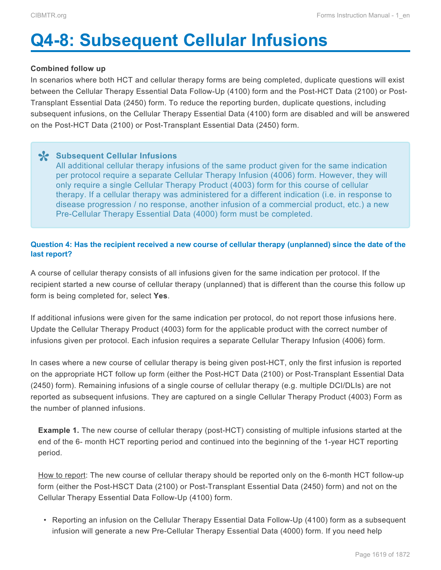# <span id="page-7-0"></span>**Q4-8: Subsequent Cellular Infusions**

#### **Combined follow up**

In scenarios where both HCT and cellular therapy forms are being completed, duplicate questions will exist between the Cellular Therapy Essential Data Follow-Up (4100) form and the Post-HCT Data (2100) or Post-Transplant Essential Data (2450) form. To reduce the reporting burden, duplicate questions, including subsequent infusions, on the Cellular Therapy Essential Data (4100) form are disabled and will be answered on the Post-HCT Data (2100) or Post-Transplant Essential Data (2450) form.

**Subsequent Cellular Infusions \*** All additional cellular therapy infusions of the same product given for the same indication per protocol require a separate Cellular Therapy Infusion (4006) form. However, they will only require a single Cellular Therapy Product (4003) form for this course of cellular therapy. If a cellular therapy was administered for a different indication (i.e. in response to disease progression / no response, another infusion of a commercial product, etc.) a new Pre-Cellular Therapy Essential Data (4000) form must be completed.

### **Question 4: Has the recipient received a new course of cellular therapy (unplanned) since the date of the last report?**

A course of cellular therapy consists of all infusions given for the same indication per protocol. If the recipient started a new course of cellular therapy (unplanned) that is different than the course this follow up form is being completed for, select **Yes**.

If additional infusions were given for the same indication per protocol, do not report those infusions here. Update the Cellular Therapy Product (4003) form for the applicable product with the correct number of infusions given per protocol. Each infusion requires a separate Cellular Therapy Infusion (4006) form.

In cases where a new course of cellular therapy is being given post-HCT, only the first infusion is reported on the appropriate HCT follow up form (either the Post-HCT Data (2100) or Post-Transplant Essential Data (2450) form). Remaining infusions of a single course of cellular therapy (e.g. multiple DCI/DLIs) are not reported as subsequent infusions. They are captured on a single Cellular Therapy Product (4003) Form as the number of planned infusions.

**Example 1.** The new course of cellular therapy (post-HCT) consisting of multiple infusions started at the end of the 6- month HCT reporting period and continued into the beginning of the 1-year HCT reporting period.

How to report: The new course of cellular therapy should be reported only on the 6-month HCT follow-up form (either the Post-HSCT Data (2100) or Post-Transplant Essential Data (2450) form) and not on the Cellular Therapy Essential Data Follow-Up (4100) form.

• Reporting an infusion on the Cellular Therapy Essential Data Follow-Up (4100) form as a subsequent infusion will generate a new Pre-Cellular Therapy Essential Data (4000) form. If you need help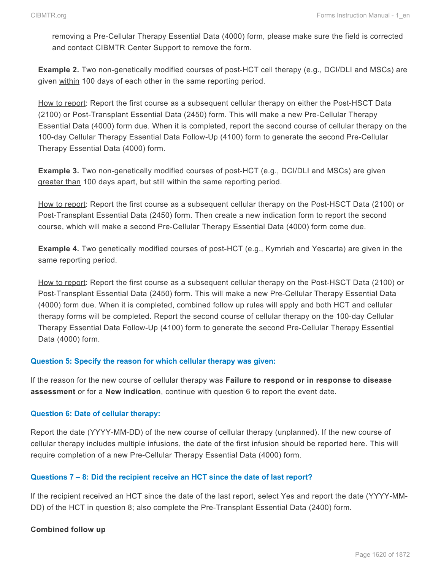removing a Pre-Cellular Therapy Essential Data (4000) form, please make sure the field is corrected and contact CIBMTR Center Support to remove the form.

**Example 2.** Two non-genetically modified courses of post-HCT cell therapy (e.g., DCI/DLI and MSCs) are given within 100 days of each other in the same reporting period.

How to report: Report the first course as a subsequent cellular therapy on either the Post-HSCT Data (2100) or Post-Transplant Essential Data (2450) form. This will make a new Pre-Cellular Therapy Essential Data (4000) form due. When it is completed, report the second course of cellular therapy on the 100-day Cellular Therapy Essential Data Follow-Up (4100) form to generate the second Pre-Cellular Therapy Essential Data (4000) form.

**Example 3.** Two non-genetically modified courses of post-HCT (e.g., DCI/DLI and MSCs) are given greater than 100 days apart, but still within the same reporting period.

How to report: Report the first course as a subsequent cellular therapy on the Post-HSCT Data (2100) or Post-Transplant Essential Data (2450) form. Then create a new indication form to report the second course, which will make a second Pre-Cellular Therapy Essential Data (4000) form come due.

**Example 4.** Two genetically modified courses of post-HCT (e.g., Kymriah and Yescarta) are given in the same reporting period.

How to report: Report the first course as a subsequent cellular therapy on the Post-HSCT Data (2100) or Post-Transplant Essential Data (2450) form. This will make a new Pre-Cellular Therapy Essential Data (4000) form due. When it is completed, combined follow up rules will apply and both HCT and cellular therapy forms will be completed. Report the second course of cellular therapy on the 100-day Cellular Therapy Essential Data Follow-Up (4100) form to generate the second Pre-Cellular Therapy Essential Data (4000) form.

#### **Question 5: Specify the reason for which cellular therapy was given:**

If the reason for the new course of cellular therapy was **Failure to respond or in response to disease assessment** or for a **New indication**, continue with question 6 to report the event date.

#### **Question 6: Date of cellular therapy:**

Report the date (YYYY-MM-DD) of the new course of cellular therapy (unplanned). If the new course of cellular therapy includes multiple infusions, the date of the first infusion should be reported here. This will require completion of a new Pre-Cellular Therapy Essential Data (4000) form.

### **Questions 7 – 8: Did the recipient receive an HCT since the date of last report?**

If the recipient received an HCT since the date of the last report, select Yes and report the date (YYYY-MM-DD) of the HCT in question 8; also complete the Pre-Transplant Essential Data (2400) form.

#### **Combined follow up**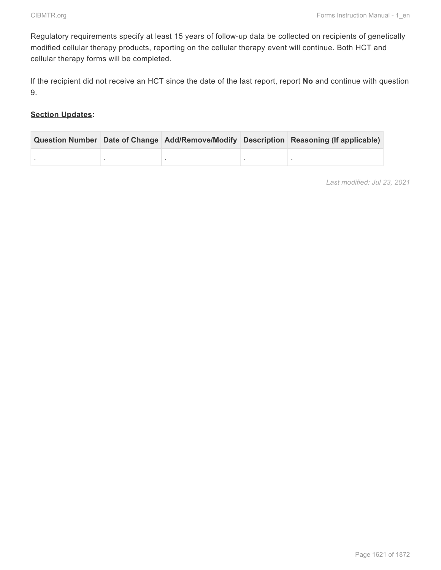Regulatory requirements specify at least 15 years of follow-up data be collected on recipients of genetically modified cellular therapy products, reporting on the cellular therapy event will continue. Both HCT and cellular therapy forms will be completed.

If the recipient did not receive an HCT since the date of the last report, report **No** and continue with question 9.

### **Section Updates:**

|  |  | Question Number Date of Change Add/Remove/Modify Description Reasoning (If applicable) |
|--|--|----------------------------------------------------------------------------------------|
|  |  |                                                                                        |

*Last modified: Jul 23, 2021*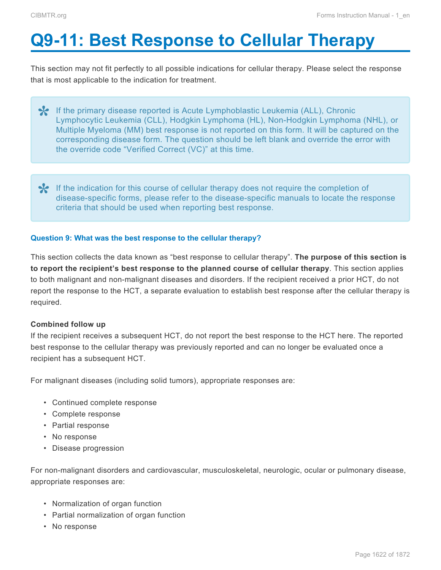# <span id="page-10-0"></span>**Q9-11: Best Response to Cellular Therapy**

This section may not fit perfectly to all possible indications for cellular therapy. Please select the response that is most applicable to the indication for treatment.

- <sup>\*</sup> If the primary disease reported is Acute Lymphoblastic Leukemia (ALL), Chronic<br>Lymphocytic Leukemia (CLL), Hodgkin Lymphoma (HL), Non-Hodgkin Lymphom<br>Multiple Muslams (MM) best responses is not reported an this farm, I Lymphocytic Leukemia (CLL), Hodgkin Lymphoma (HL), Non-Hodgkin Lymphoma (NHL), or Multiple Myeloma (MM) best response is not reported on this form. It will be captured on the corresponding disease form. The question should be left blank and override the error with the override code "Verified Correct (VC)" at this time.
- If the indication for this course of cellular therapy does not require the completion of disease-specific forms, please refer to the disease-specific manuals to locate the requirement of the the strain that should be used disease-specific forms, please refer to the disease-specific manuals to locate the response criteria that should be used when reporting best response.

### **Question 9: What was the best response to the cellular therapy?**

This section collects the data known as "best response to cellular therapy". **The purpose of this section is to report the recipient's best response to the planned course of cellular therapy**. This section applies to both malignant and non-malignant diseases and disorders. If the recipient received a prior HCT, do not report the response to the HCT, a separate evaluation to establish best response after the cellular therapy is required.

#### **Combined follow up**

If the recipient receives a subsequent HCT, do not report the best response to the HCT here. The reported best response to the cellular therapy was previously reported and can no longer be evaluated once a recipient has a subsequent HCT.

For malignant diseases (including solid tumors), appropriate responses are:

- Continued complete response
- Complete response
- Partial response
- No response
- Disease progression

For non-malignant disorders and cardiovascular, musculoskeletal, neurologic, ocular or pulmonary disease, appropriate responses are:

- Normalization of organ function
- Partial normalization of organ function
- No response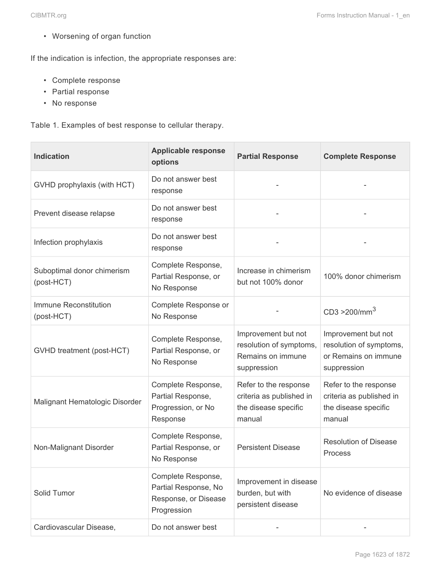• Worsening of organ function

If the indication is infection, the appropriate responses are:

- Complete response
- Partial response
- No response

Table 1. Examples of best response to cellular therapy.

| <b>Indication</b>                        | <b>Applicable response</b><br>options                                             | <b>Partial Response</b>                                                             | <b>Complete Response</b>                                                              |
|------------------------------------------|-----------------------------------------------------------------------------------|-------------------------------------------------------------------------------------|---------------------------------------------------------------------------------------|
| GVHD prophylaxis (with HCT)              | Do not answer best<br>response                                                    |                                                                                     |                                                                                       |
| Prevent disease relapse                  | Do not answer best<br>response                                                    |                                                                                     |                                                                                       |
| Infection prophylaxis                    | Do not answer best<br>response                                                    |                                                                                     |                                                                                       |
| Suboptimal donor chimerism<br>(post-HCT) | Complete Response,<br>Partial Response, or<br>No Response                         | Increase in chimerism<br>but not 100% donor                                         | 100% donor chimerism                                                                  |
| Immune Reconstitution<br>(post-HCT)      | Complete Response or<br>No Response                                               |                                                                                     | CD3 > 200/mm <sup>3</sup>                                                             |
| GVHD treatment (post-HCT)                | Complete Response,<br>Partial Response, or<br>No Response                         | Improvement but not<br>resolution of symptoms,<br>Remains on immune<br>suppression  | Improvement but not<br>resolution of symptoms,<br>or Remains on immune<br>suppression |
| Malignant Hematologic Disorder           | Complete Response,<br>Partial Response,<br>Progression, or No<br>Response         | Refer to the response<br>criteria as published in<br>the disease specific<br>manual | Refer to the response<br>criteria as published in<br>the disease specific<br>manual   |
| Non-Malignant Disorder                   | Complete Response,<br>Partial Response, or<br>No Response                         | <b>Persistent Disease</b>                                                           | <b>Resolution of Disease</b><br>Process                                               |
| Solid Tumor                              | Complete Response,<br>Partial Response, No<br>Response, or Disease<br>Progression | Improvement in disease<br>burden, but with<br>persistent disease                    | No evidence of disease                                                                |
| Cardiovascular Disease,                  | Do not answer best                                                                |                                                                                     |                                                                                       |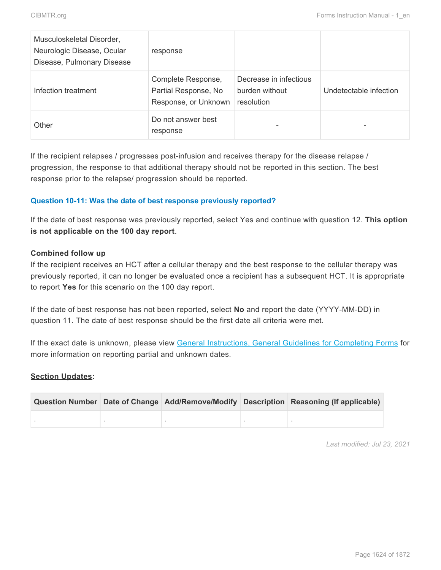| Musculoskeletal Disorder,<br>Neurologic Disease, Ocular<br>Disease, Pulmonary Disease | response                                                           |                                                        |                        |
|---------------------------------------------------------------------------------------|--------------------------------------------------------------------|--------------------------------------------------------|------------------------|
| Infection treatment                                                                   | Complete Response,<br>Partial Response, No<br>Response, or Unknown | Decrease in infectious<br>burden without<br>resolution | Undetectable infection |
| Other                                                                                 | Do not answer best<br>response                                     |                                                        |                        |

If the recipient relapses / progresses post-infusion and receives therapy for the disease relapse / progression, the response to that additional therapy should not be reported in this section. The best response prior to the relapse/ progression should be reported.

### **Question 10-11: Was the date of best response previously reported?**

If the date of best response was previously reported, select Yes and continue with question 12. **This option is not applicable on the 100 day report**.

#### **Combined follow up**

If the recipient receives an HCT after a cellular therapy and the best response to the cellular therapy was previously reported, it can no longer be evaluated once a recipient has a subsequent HCT. It is appropriate to report **Yes** for this scenario on the 100 day report.

If the date of best response has not been reported, select **No** and report the date (YYYY-MM-DD) in question 11. The date of best response should be the first date all criteria were met.

If the exact date is unknown, please view General Instructions, General Guidelines for Completing Forms for more information on reporting partial and unknown dates.

### **Section Updates:**

|  |  | Question Number Date of Change Add/Remove/Modify Description Reasoning (If applicable) |
|--|--|----------------------------------------------------------------------------------------|
|  |  |                                                                                        |

*Last modified: Jul 23, 2021*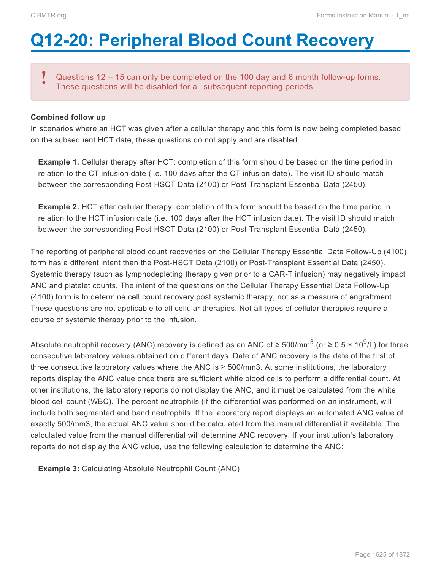# <span id="page-13-0"></span>**Q12-20: Peripheral Blood Count Recovery**

Questions 12 – 15 can only be completed on the 100 day and 6 month follow-up forms. These questions will be disabled for all subsequent reporting periods. **!**

#### **Combined follow up**

In scenarios where an HCT was given after a cellular therapy and this form is now being completed based on the subsequent HCT date, these questions do not apply and are disabled.

**Example 1.** Cellular therapy after HCT: completion of this form should be based on the time period in relation to the CT infusion date (i.e. 100 days after the CT infusion date). The visit ID should match between the corresponding Post-HSCT Data (2100) or Post-Transplant Essential Data (2450).

**Example 2.** HCT after cellular therapy: completion of this form should be based on the time period in relation to the HCT infusion date (i.e. 100 days after the HCT infusion date). The visit ID should match between the corresponding Post-HSCT Data (2100) or Post-Transplant Essential Data (2450).

The reporting of peripheral blood count recoveries on the Cellular Therapy Essential Data Follow-Up (4100) form has a different intent than the Post-HSCT Data (2100) or Post-Transplant Essential Data (2450). Systemic therapy (such as lymphodepleting therapy given prior to a CAR-T infusion) may negatively impact ANC and platelet counts. The intent of the questions on the Cellular Therapy Essential Data Follow-Up (4100) form is to determine cell count recovery post systemic therapy, not as a measure of engraftment. These questions are not applicable to all cellular therapies. Not all types of cellular therapies require a course of systemic therapy prior to the infusion.

Absolute neutrophil recovery (ANC) recovery is defined as an ANC of ≥ 500/mm<sup>3</sup> (or ≥ 0.5 × 10<sup>9</sup>/L) for three consecutive laboratory values obtained on different days. Date of ANC recovery is the date of the first of three consecutive laboratory values where the ANC is ≥ 500/mm3. At some institutions, the laboratory reports display the ANC value once there are sufficient white blood cells to perform a differential count. At other institutions, the laboratory reports do not display the ANC, and it must be calculated from the white blood cell count (WBC). The percent neutrophils (if the differential was performed on an instrument, will include both segmented and band neutrophils. If the laboratory report displays an automated ANC value of exactly 500/mm3, the actual ANC value should be calculated from the manual differential if available. The calculated value from the manual differential will determine ANC recovery. If your institution's laboratory reports do not display the ANC value, use the following calculation to determine the ANC:

**Example 3:** Calculating Absolute Neutrophil Count (ANC)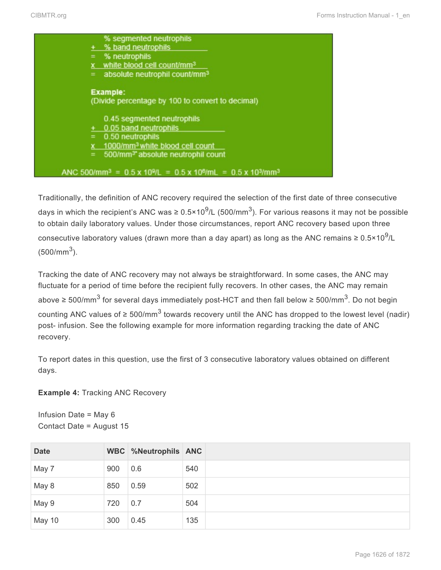|     | % segmented neutrophils                                                                                           |
|-----|-------------------------------------------------------------------------------------------------------------------|
|     | + % band neutrophils                                                                                              |
| $=$ | % neutrophils                                                                                                     |
| x.  | white blood cell count/mm <sup>3</sup>                                                                            |
| $=$ | absolute neutrophil count/mm <sup>3</sup>                                                                         |
|     |                                                                                                                   |
|     | <b>Example:</b>                                                                                                   |
|     | (Divide percentage by 100 to convert to decimal)                                                                  |
|     |                                                                                                                   |
|     | 0.45 segmented neutrophils                                                                                        |
|     | 0.05 band neutrophils                                                                                             |
| $=$ | 0.50 neutrophils                                                                                                  |
| x.  | 1000/mm <sup>3</sup> white blood cell count                                                                       |
| $=$ | 500/mm <sup>3*</sup> absolute neutrophil count                                                                    |
|     |                                                                                                                   |
|     | ANC 500/mm <sup>3</sup> = $0.5 \times 10^{9}$ /L = $0.5 \times 10^{6}$ /mL = $0.5 \times 10^{3}$ /mm <sup>3</sup> |
|     |                                                                                                                   |

Traditionally, the definition of ANC recovery required the selection of the first date of three consecutive days in which the recipient's ANC was ≥ 0.5×10<sup>9</sup>/L (500/mm<sup>3</sup>). For various reasons it may not be possible to obtain daily laboratory values. Under those circumstances, report ANC recovery based upon three consecutive laboratory values (drawn more than a day apart) as long as the ANC remains ≥ 0.5×10<sup>9</sup>/L  $(500/mm<sup>3</sup>)$ .

Tracking the date of ANC recovery may not always be straightforward. In some cases, the ANC may fluctuate for a period of time before the recipient fully recovers. In other cases, the ANC may remain above ≥ 500/mm<sup>3</sup> for several days immediately post-HCT and then fall below ≥ 500/mm<sup>3</sup>. Do not begin counting ANC values of ≥ 500/mm<sup>3</sup> towards recovery until the ANC has dropped to the lowest level (nadir) post- infusion. See the following example for more information regarding tracking the date of ANC recovery.

To report dates in this question, use the first of 3 consecutive laboratory values obtained on different days.

**Example 4:** Tracking ANC Recovery

Infusion Date = May 6 Contact Date = August 15

| <b>Date</b> |     | WBC %Neutrophils ANC |     |
|-------------|-----|----------------------|-----|
| May 7       | 900 | 0.6                  | 540 |
| May 8       | 850 | 0.59                 | 502 |
| May 9       | 720 | 0.7                  | 504 |
| May 10      | 300 | 0.45                 | 135 |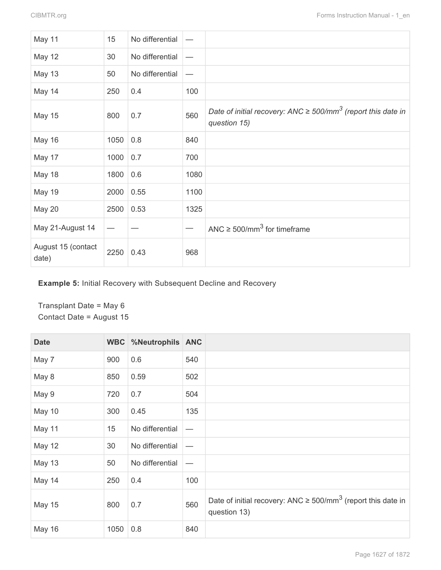| May 11                      | 15   | No differential |      |                                                                                               |
|-----------------------------|------|-----------------|------|-----------------------------------------------------------------------------------------------|
| <b>May 12</b>               | 30   | No differential |      |                                                                                               |
| <b>May 13</b>               | 50   | No differential |      |                                                                                               |
| May 14                      | 250  | 0.4             | 100  |                                                                                               |
| <b>May 15</b>               | 800  | 0.7             | 560  | Date of initial recovery: ANC $\geq$ 500/mm <sup>3</sup> (report this date in<br>question 15) |
| <b>May 16</b>               | 1050 | 0.8             | 840  |                                                                                               |
| May 17                      | 1000 | 0.7             | 700  |                                                                                               |
| May 18                      | 1800 | 0.6             | 1080 |                                                                                               |
| <b>May 19</b>               | 2000 | 0.55            | 1100 |                                                                                               |
| May 20                      | 2500 | 0.53            | 1325 |                                                                                               |
| May 21-August 14            |      |                 |      | ANC $\geq$ 500/mm <sup>3</sup> for timeframe                                                  |
| August 15 (contact<br>date) | 2250 | 0.43            | 968  |                                                                                               |

**Example 5:** Initial Recovery with Subsequent Decline and Recovery

Transplant Date = May 6 Contact Date = August 15

| <b>Date</b>   |      | WBC %Neutrophils ANC |                          |                                                                                               |
|---------------|------|----------------------|--------------------------|-----------------------------------------------------------------------------------------------|
| May 7         | 900  | 0.6                  | 540                      |                                                                                               |
| May 8         | 850  | 0.59                 | 502                      |                                                                                               |
| May 9         | 720  | 0.7                  | 504                      |                                                                                               |
| May 10        | 300  | 0.45                 | 135                      |                                                                                               |
| May 11        | 15   | No differential      | $\overline{\phantom{0}}$ |                                                                                               |
| <b>May 12</b> | 30   | No differential      |                          |                                                                                               |
| <b>May 13</b> | 50   | No differential      |                          |                                                                                               |
| May 14        | 250  | 0.4                  | 100                      |                                                                                               |
| <b>May 15</b> | 800  | 0.7                  | 560                      | Date of initial recovery: ANC $\geq$ 500/mm <sup>3</sup> (report this date in<br>question 13) |
| <b>May 16</b> | 1050 | 0.8                  | 840                      |                                                                                               |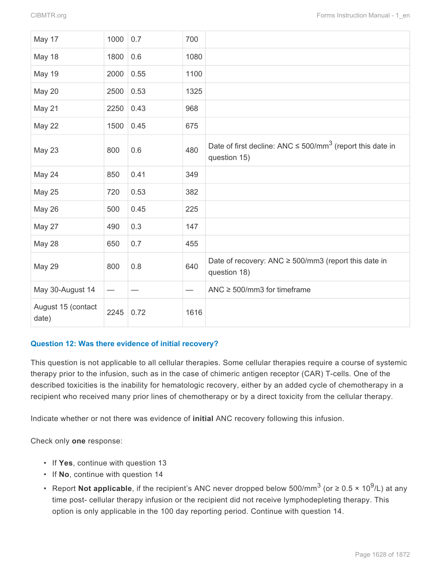| May 17                      | 1000 | 0.7  | 700  |                                                                                            |
|-----------------------------|------|------|------|--------------------------------------------------------------------------------------------|
| May 18                      | 1800 | 0.6  | 1080 |                                                                                            |
| <b>May 19</b>               | 2000 | 0.55 | 1100 |                                                                                            |
| <b>May 20</b>               | 2500 | 0.53 | 1325 |                                                                                            |
| May 21                      | 2250 | 0.43 | 968  |                                                                                            |
| May 22                      | 1500 | 0.45 | 675  |                                                                                            |
| <b>May 23</b>               | 800  | 0.6  | 480  | Date of first decline: ANC $\leq$ 500/mm <sup>3</sup> (report this date in<br>question 15) |
| May 24                      | 850  | 0.41 | 349  |                                                                                            |
| <b>May 25</b>               | 720  | 0.53 | 382  |                                                                                            |
| May 26                      | 500  | 0.45 | 225  |                                                                                            |
| May 27                      | 490  | 0.3  | 147  |                                                                                            |
| May 28                      | 650  | 0.7  | 455  |                                                                                            |
| <b>May 29</b>               | 800  | 0.8  | 640  | Date of recovery: ANC $\geq$ 500/mm3 (report this date in<br>question 18)                  |
| May 30-August 14            |      |      |      | ANC $\geq$ 500/mm3 for timeframe                                                           |
| August 15 (contact<br>date) | 2245 | 0.72 | 1616 |                                                                                            |

### **Question 12: Was there evidence of initial recovery?**

This question is not applicable to all cellular therapies. Some cellular therapies require a course of systemic therapy prior to the infusion, such as in the case of chimeric antigen receptor (CAR) T-cells. One of the described toxicities is the inability for hematologic recovery, either by an added cycle of chemotherapy in a recipient who received many prior lines of chemotherapy or by a direct toxicity from the cellular therapy.

Indicate whether or not there was evidence of **initial** ANC recovery following this infusion.

Check only **one** response:

- If **Yes**, continue with question 13
- If **No**, continue with question 14
- Report Not applicable, if the recipient's ANC never dropped below 500/mm<sup>3</sup> (or ≥ 0.5 × 10<sup>9</sup>/L) at any time post- cellular therapy infusion or the recipient did not receive lymphodepleting therapy. This option is only applicable in the 100 day reporting period. Continue with question 14.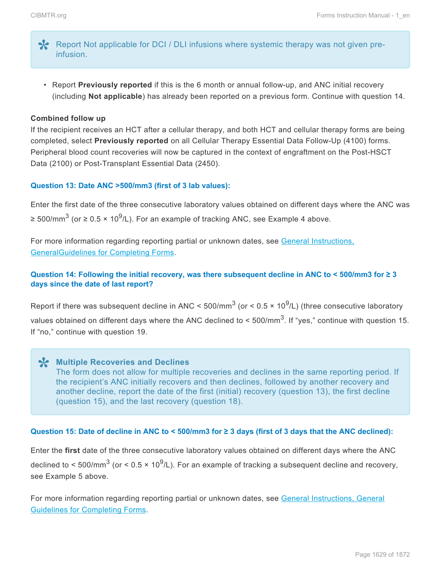- Report Not applicable for DCI / DLI infusions where systemic therapy was not given preinfusion.
	- Report **Previously reported** if this is the 6 month or annual follow-up, and ANC initial recovery (including **Not applicable**) has already been reported on a previous form. Continue with question 14.

#### **Combined follow up**

If the recipient receives an HCT after a cellular therapy, and both HCT and cellular therapy forms are being completed, select **Previously reported** on all Cellular Therapy Essential Data Follow-Up (4100) forms. Peripheral blood count recoveries will now be captured in the context of engraftment on the Post-HSCT Data (2100) or Post-Transplant Essential Data (2450).

#### **Question 13: Date ANC >500/mm3 (first of 3 lab values):**

Enter the first date of the three consecutive laboratory values obtained on different days where the ANC was ≥ 500/mm $^3$  (or ≥ 0.5 × 10<sup>9</sup>/L). For an example of tracking ANC, see Example 4 above.

For more information regarding reporting partial or unknown dates, see General Instructions, GeneralGuidelines for Completing Forms.

#### **Question 14: Following the initial recovery, was there subsequent decline in ANC to < 500/mm3 for ≥ 3 days since the date of last report?**

Report if there was subsequent decline in ANC < 500/mm<sup>3</sup> (or < 0.5 × 10<sup>9</sup>/L) (three consecutive laboratory values obtained on different days where the ANC declined to < 500/mm<sup>3</sup>. If "yes," continue with question 15. If "no," continue with question 19.

# **Multiple Recoveries and Declines \*** The form does not allow for multiple recoveries and declines in the same reporting period. If the recipient's ANC initially recovers and then declines, followed by another recovery and another decline, report the date of the first (initial) recovery (question 13), the first decline (question 15), and the last recovery (question 18).

#### **Question 15: Date of decline in ANC to < 500/mm3 for ≥ 3 days (first of 3 days that the ANC declined):**

Enter the **first** date of the three consecutive laboratory values obtained on different days where the ANC declined to < 500/mm<sup>3</sup> (or < 0.5 × 10<sup>9</sup>/L). For an example of tracking a subsequent decline and recovery, see Example 5 above.

For more information regarding reporting partial or unknown dates, see General Instructions, General Guidelines for Completing Forms.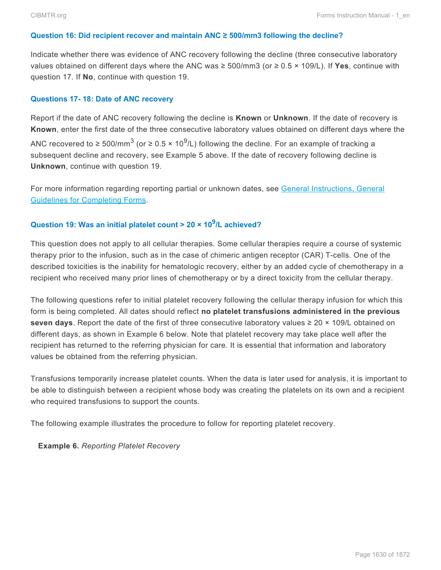#### **Question 16: Did recipient recover and maintain ANC ≥ 500/mm3 following the decline?**

Indicate whether there was evidence of ANC recovery following the decline (three consecutive laboratory values obtained on different days where the ANC was ≥ 500/mm3 (or ≥ 0.5 × 109/L). If **Yes**, continue with question 17. If **No**, continue with question 19.

#### **Questions 17- 18: Date of ANC recovery**

Report if the date of ANC recovery following the decline is **Known** or **Unknown**. If the date of recovery is **Known**, enter the first date of the three consecutive laboratory values obtained on different days where the ANC recovered to ≥ 500/mm<sup>3</sup> (or ≥ 0.5 × 10<sup>9</sup>/L) following the decline. For an example of tracking a subsequent decline and recovery, see Example 5 above. If the date of recovery following decline is **Unknown**, continue with question 19.

For more information regarding reporting partial or unknown dates, see General Instructions, General Guidelines for Completing Forms.

# **Question 19: Was an initial platelet count > 20 × 10<sup>9</sup> /L achieved?**

This question does not apply to all cellular therapies. Some cellular therapies require a course of systemic therapy prior to the infusion, such as in the case of chimeric antigen receptor (CAR) T-cells. One of the described toxicities is the inability for hematologic recovery, either by an added cycle of chemotherapy in a recipient who received many prior lines of chemotherapy or by a direct toxicity from the cellular therapy.

The following questions refer to initial platelet recovery following the cellular therapy infusion for which this form is being completed. All dates should reflect **no platelet transfusions administered in the previous seven days**. Report the date of the first of three consecutive laboratory values  $\geq 20 \times 109$ /L obtained on different days, as shown in Example 6 below. Note that platelet recovery may take place well after the recipient has returned to the referring physician for care. It is essential that information and laboratory values be obtained from the referring physician.

Transfusions temporarily increase platelet counts. When the data is later used for analysis, it is important to be able to distinguish between a recipient whose body was creating the platelets on its own and a recipient who required transfusions to support the counts.

The following example illustrates the procedure to follow for reporting platelet recovery.

**Example 6.** *Reporting Platelet Recovery*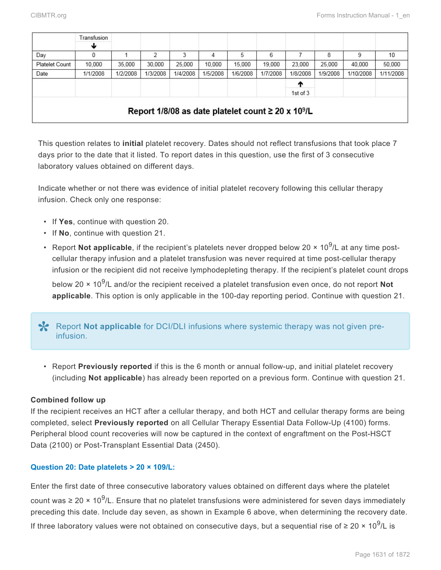|                                                                     | Transfusion |          |          |          |          |          |          |            |          |           |           |
|---------------------------------------------------------------------|-------------|----------|----------|----------|----------|----------|----------|------------|----------|-----------|-----------|
|                                                                     | w           |          |          |          |          |          |          |            |          |           |           |
| Day                                                                 | 0           |          | 2        | 3        | 4        | 5        | 6        |            | 8        | 9         | 10        |
| <b>Platelet Count</b>                                               | 10.000      | 35,000   | 30,000   | 25,000   | 10,000   | 15,000   | 19,000   | 23,000     | 25,000   | 40,000    | 50,000    |
| Date                                                                | 1/1/2008    | 1/2/2008 | 1/3/2008 | 1/4/2008 | 1/5/2008 | 1/6/2008 | 1/7/2008 | 1/8/2008   | 1/9/2008 | 1/10/2008 | 1/11/2008 |
|                                                                     |             |          |          |          |          |          |          | T          |          |           |           |
|                                                                     |             |          |          |          |          |          |          | 1st of $3$ |          |           |           |
| Report 1/8/08 as date platelet count $\geq$ 20 x 10 <sup>9</sup> /L |             |          |          |          |          |          |          |            |          |           |           |
|                                                                     |             |          |          |          |          |          |          |            |          |           |           |

This question relates to **initial** platelet recovery. Dates should not reflect transfusions that took place 7 days prior to the date that it listed. To report dates in this question, use the first of 3 consecutive laboratory values obtained on different days.

Indicate whether or not there was evidence of initial platelet recovery following this cellular therapy infusion. Check only one response:

- If **Yes**, continue with question 20.
- If **No**, continue with question 21.
- Report Not applicable, if the recipient's platelets never dropped below 20 × 10<sup>9</sup>/L at any time postcellular therapy infusion and a platelet transfusion was never required at time post-cellular therapy infusion or the recipient did not receive lymphodepleting therapy. If the recipient's platelet count drops

below 20 × 10<sup>9</sup>/L and/or the recipient received a platelet transfusion even once, do not report Not **applicable**. This option is only applicable in the 100-day reporting period. Continue with question 21.

# Report Not applicable for DCI/DLI infusions where systemic therapy was not given preinfusion.

• Report **Previously reported** if this is the 6 month or annual follow-up, and initial platelet recovery (including **Not applicable**) has already been reported on a previous form. Continue with question 21.

# **Combined follow up**

If the recipient receives an HCT after a cellular therapy, and both HCT and cellular therapy forms are being completed, select **Previously reported** on all Cellular Therapy Essential Data Follow-Up (4100) forms. Peripheral blood count recoveries will now be captured in the context of engraftment on the Post-HSCT Data (2100) or Post-Transplant Essential Data (2450).

# **Question 20: Date platelets > 20 × 109/L:**

Enter the first date of three consecutive laboratory values obtained on different days where the platelet count was ≥ 20 × 10<sup>9</sup>/L. Ensure that no platelet transfusions were administered for seven days immediately preceding this date. Include day seven, as shown in Example 6 above, when determining the recovery date. If three laboratory values were not obtained on consecutive days, but a sequential rise of ≥ 20 × 10<sup>9</sup>/L is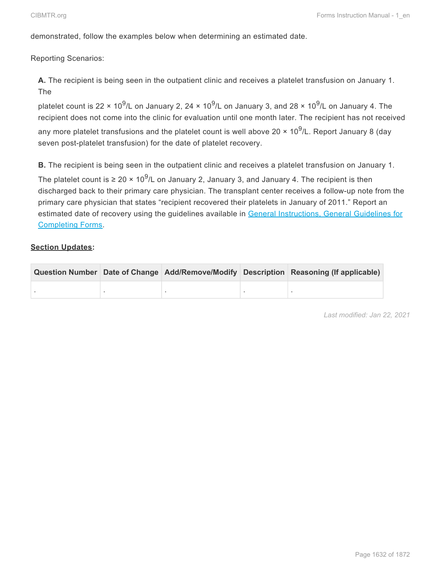demonstrated, follow the examples below when determining an estimated date.

Reporting Scenarios:

**A.** The recipient is being seen in the outpatient clinic and receives a platelet transfusion on January 1. The

platelet count is 22 × 10<sup>9</sup>/L on January 2, 24 × 10<sup>9</sup>/L on January 3, and 28 × 10<sup>9</sup>/L on January 4. The recipient does not come into the clinic for evaluation until one month later. The recipient has not received any more platelet transfusions and the platelet count is well above 20 × 10<sup>9</sup>/L. Report January 8 (day seven post-platelet transfusion) for the date of platelet recovery.

**B.** The recipient is being seen in the outpatient clinic and receives a platelet transfusion on January 1.

The platelet count is ≥ 20 × 10<sup>9</sup>/L on January 2, January 3, and January 4. The recipient is then discharged back to their primary care physician. The transplant center receives a follow-up note from the primary care physician that states "recipient recovered their platelets in January of 2011." Report an estimated date of recovery using the guidelines available in General Instructions, General Guidelines for Completing Forms.

### **Section Updates:**

|  |  | Question Number Date of Change Add/Remove/Modify Description Reasoning (If applicable) |  |
|--|--|----------------------------------------------------------------------------------------|--|
|  |  |                                                                                        |  |

*Last modified: Jan 22, 2021*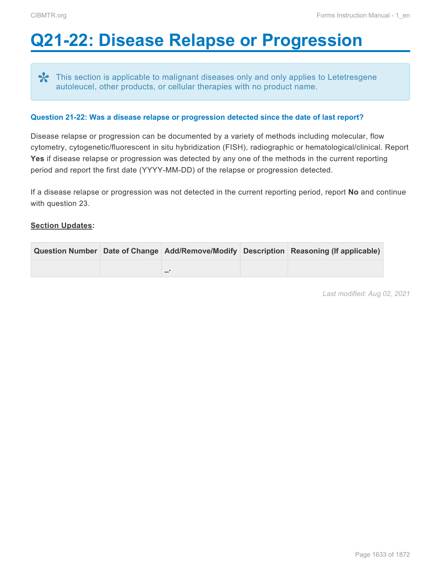# <span id="page-21-0"></span>**Q21-22: Disease Relapse or Progression**

This section is applicable to malignant diseases only and only applies to Letetresgene **\*** autoleucel, other products, or cellular therapies with no product name.

#### **Question 21-22: Was a disease relapse or progression detected since the date of last report?**

Disease relapse or progression can be documented by a variety of methods including molecular, flow cytometry, cytogenetic/fluorescent in situ hybridization (FISH), radiographic or hematological/clinical. Report **Yes** if disease relapse or progression was detected by any one of the methods in the current reporting period and report the first date (YYYY-MM-DD) of the relapse or progression detected.

If a disease relapse or progression was not detected in the current reporting period, report **No** and continue with question 23.

### **Section Updates:**

|  |  | Question Number Date of Change Add/Remove/Modify Description Reasoning (If applicable) |
|--|--|----------------------------------------------------------------------------------------|
|  |  |                                                                                        |

*Last modified: Aug 02, 2021*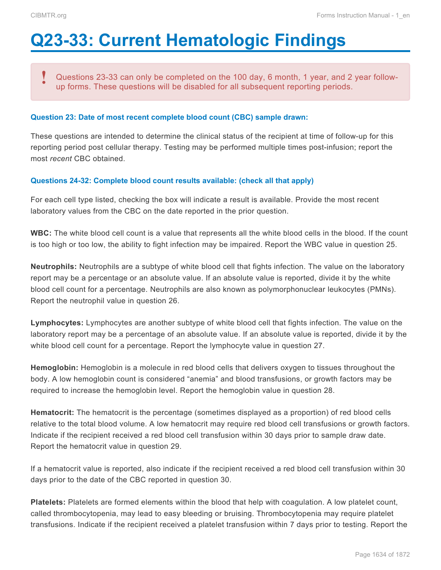# <span id="page-22-0"></span>**Q23-33: Current Hematologic Findings**

Questions 23-33 can only be completed on the 100 day, 6 month, 1 year, and 2 year followup forms. These questions will be disabled for all subsequent reporting periods. **!**

#### **Question 23: Date of most recent complete blood count (CBC) sample drawn:**

These questions are intended to determine the clinical status of the recipient at time of follow-up for this reporting period post cellular therapy. Testing may be performed multiple times post-infusion; report the most *recent* CBC obtained.

#### **Questions 24-32: Complete blood count results available: (check all that apply)**

For each cell type listed, checking the box will indicate a result is available. Provide the most recent laboratory values from the CBC on the date reported in the prior question.

**WBC:** The white blood cell count is a value that represents all the white blood cells in the blood. If the count is too high or too low, the ability to fight infection may be impaired. Report the WBC value in question 25.

**Neutrophils:** Neutrophils are a subtype of white blood cell that fights infection. The value on the laboratory report may be a percentage or an absolute value. If an absolute value is reported, divide it by the white blood cell count for a percentage. Neutrophils are also known as polymorphonuclear leukocytes (PMNs). Report the neutrophil value in question 26.

**Lymphocytes:** Lymphocytes are another subtype of white blood cell that fights infection. The value on the laboratory report may be a percentage of an absolute value. If an absolute value is reported, divide it by the white blood cell count for a percentage. Report the lymphocyte value in question 27.

**Hemoglobin:** Hemoglobin is a molecule in red blood cells that delivers oxygen to tissues throughout the body. A low hemoglobin count is considered "anemia" and blood transfusions, or growth factors may be required to increase the hemoglobin level. Report the hemoglobin value in question 28.

**Hematocrit:** The hematocrit is the percentage (sometimes displayed as a proportion) of red blood cells relative to the total blood volume. A low hematocrit may require red blood cell transfusions or growth factors. Indicate if the recipient received a red blood cell transfusion within 30 days prior to sample draw date. Report the hematocrit value in question 29.

If a hematocrit value is reported, also indicate if the recipient received a red blood cell transfusion within 30 days prior to the date of the CBC reported in question 30.

**Platelets:** Platelets are formed elements within the blood that help with coagulation. A low platelet count, called thrombocytopenia, may lead to easy bleeding or bruising. Thrombocytopenia may require platelet transfusions. Indicate if the recipient received a platelet transfusion within 7 days prior to testing. Report the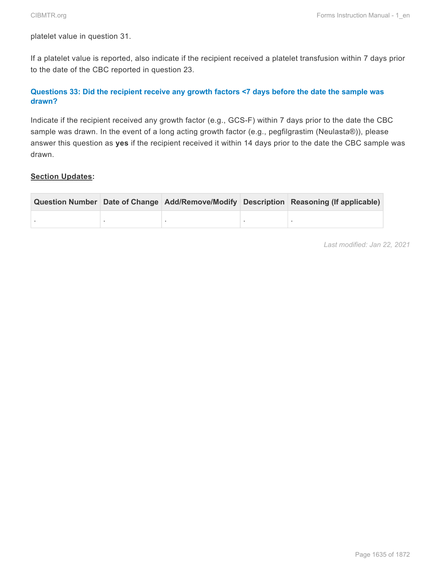platelet value in question 31.

If a platelet value is reported, also indicate if the recipient received a platelet transfusion within 7 days prior to the date of the CBC reported in question 23.

# **Questions 33: Did the recipient receive any growth factors <7 days before the date the sample was drawn?**

Indicate if the recipient received any growth factor (e.g., GCS-F) within 7 days prior to the date the CBC sample was drawn. In the event of a long acting growth factor (e.g., pegfilgrastim (Neulasta®)), please answer this question as **yes** if the recipient received it within 14 days prior to the date the CBC sample was drawn.

### **Section Updates:**

|  |  | Question Number Date of Change Add/Remove/Modify Description Reasoning (If applicable) |  |
|--|--|----------------------------------------------------------------------------------------|--|
|  |  |                                                                                        |  |

*Last modified: Jan 22, 2021*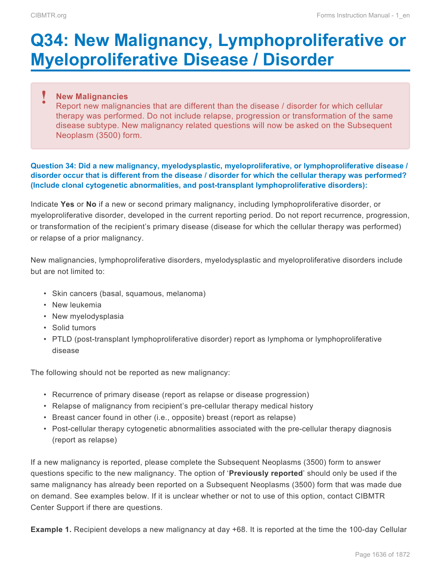# <span id="page-24-0"></span>**Q34: New Malignancy, Lymphoproliferative or Myeloproliferative Disease / Disorder**

### **New Malignancies !**

Report new malignancies that are different than the disease / disorder for which cellular therapy was performed. Do not include relapse, progression or transformation of the same disease subtype. New malignancy related questions will now be asked on the Subsequent Neoplasm (3500) form.

### **Question 34: Did a new malignancy, myelodysplastic, myeloproliferative, or lymphoproliferative disease / disorder occur that is different from the disease / disorder for which the cellular therapy was performed? (Include clonal cytogenetic abnormalities, and post-transplant lymphoproliferative disorders):**

Indicate **Yes** or **No** if a new or second primary malignancy, including lymphoproliferative disorder, or myeloproliferative disorder, developed in the current reporting period. Do not report recurrence, progression, or transformation of the recipient's primary disease (disease for which the cellular therapy was performed) or relapse of a prior malignancy.

New malignancies, lymphoproliferative disorders, myelodysplastic and myeloproliferative disorders include but are not limited to:

- Skin cancers (basal, squamous, melanoma)
- New leukemia
- New myelodysplasia
- Solid tumors
- PTLD (post-transplant lymphoproliferative disorder) report as lymphoma or lymphoproliferative disease

The following should not be reported as new malignancy:

- Recurrence of primary disease (report as relapse or disease progression)
- Relapse of malignancy from recipient's pre-cellular therapy medical history
- Breast cancer found in other (i.e., opposite) breast (report as relapse)
- Post-cellular therapy cytogenetic abnormalities associated with the pre-cellular therapy diagnosis (report as relapse)

If a new malignancy is reported, please complete the Subsequent Neoplasms (3500) form to answer questions specific to the new malignancy. The option of '**Previously reported**' should only be used if the same malignancy has already been reported on a Subsequent Neoplasms (3500) form that was made due on demand. See examples below. If it is unclear whether or not to use of this option, contact CIBMTR Center Support if there are questions.

**Example 1.** Recipient develops a new malignancy at day +68. It is reported at the time the 100-day Cellular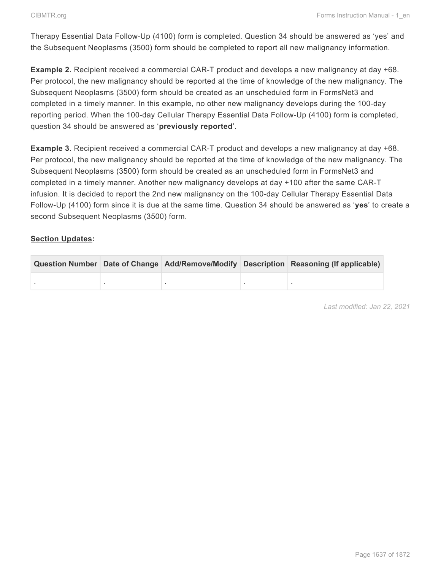Therapy Essential Data Follow-Up (4100) form is completed. Question 34 should be answered as 'yes' and the Subsequent Neoplasms (3500) form should be completed to report all new malignancy information.

**Example 2.** Recipient received a commercial CAR-T product and develops a new malignancy at day +68. Per protocol, the new malignancy should be reported at the time of knowledge of the new malignancy. The Subsequent Neoplasms (3500) form should be created as an unscheduled form in FormsNet3 and completed in a timely manner. In this example, no other new malignancy develops during the 100-day reporting period. When the 100-day Cellular Therapy Essential Data Follow-Up (4100) form is completed, question 34 should be answered as '**previously reported**'.

**Example 3.** Recipient received a commercial CAR-T product and develops a new malignancy at day +68. Per protocol, the new malignancy should be reported at the time of knowledge of the new malignancy. The Subsequent Neoplasms (3500) form should be created as an unscheduled form in FormsNet3 and completed in a timely manner. Another new malignancy develops at day +100 after the same CAR-T infusion. It is decided to report the 2nd new malignancy on the 100-day Cellular Therapy Essential Data Follow-Up (4100) form since it is due at the same time. Question 34 should be answered as '**yes**' to create a second Subsequent Neoplasms (3500) form.

### **Section Updates:**

|  |  | Question Number Date of Change Add/Remove/Modify Description Reasoning (If applicable) |  |
|--|--|----------------------------------------------------------------------------------------|--|
|  |  |                                                                                        |  |

*Last modified: Jan 22, 2021*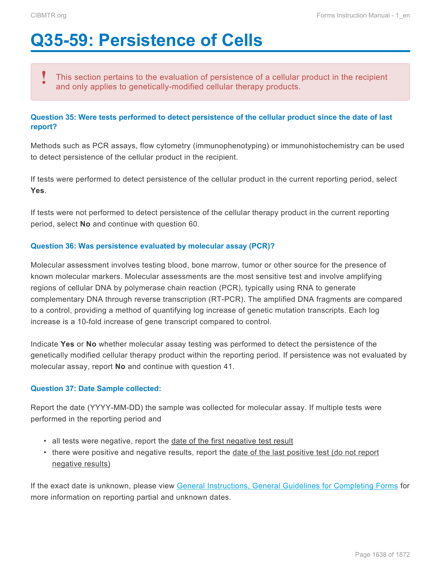# <span id="page-26-0"></span>**Q35-59: Persistence of Cells**

This section pertains to the evaluation of persistence of a cellular product in the recipient and only applies to genetically-modified cellular therapy products. **!**

## **Question 35: Were tests performed to detect persistence of the cellular product since the date of last report?**

Methods such as PCR assays, flow cytometry (immunophenotyping) or immunohistochemistry can be used to detect persistence of the cellular product in the recipient.

If tests were performed to detect persistence of the cellular product in the current reporting period, select **Yes**.

If tests were not performed to detect persistence of the cellular therapy product in the current reporting period, select **No** and continue with question 60.

#### **Question 36: Was persistence evaluated by molecular assay (PCR)?**

Molecular assessment involves testing blood, bone marrow, tumor or other source for the presence of known molecular markers. Molecular assessments are the most sensitive test and involve amplifying regions of cellular DNA by polymerase chain reaction (PCR), typically using RNA to generate complementary DNA through reverse transcription (RT-PCR). The amplified DNA fragments are compared to a control, providing a method of quantifying log increase of genetic mutation transcripts. Each log increase is a 10-fold increase of gene transcript compared to control.

Indicate **Yes** or **No** whether molecular assay testing was performed to detect the persistence of the genetically modified cellular therapy product within the reporting period. If persistence was not evaluated by molecular assay, report **No** and continue with question 41.

### **Question 37: Date Sample collected:**

Report the date (YYYY-MM-DD) the sample was collected for molecular assay. If multiple tests were performed in the reporting period and

- all tests were negative, report the date of the first negative test result
- there were positive and negative results, report the date of the last positive test (do not report negative results)

If the exact date is unknown, please view General Instructions, General Guidelines for Completing Forms for more information on reporting partial and unknown dates.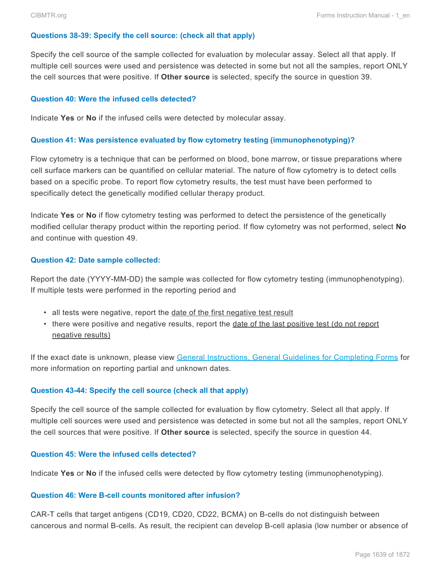#### **Questions 38-39: Specify the cell source: (check all that apply)**

Specify the cell source of the sample collected for evaluation by molecular assay. Select all that apply. If multiple cell sources were used and persistence was detected in some but not all the samples, report ONLY the cell sources that were positive. If **Other source** is selected, specify the source in question 39.

#### **Question 40: Were the infused cells detected?**

Indicate **Yes** or **No** if the infused cells were detected by molecular assay.

#### **Question 41: Was persistence evaluated by flow cytometry testing (immunophenotyping)?**

Flow cytometry is a technique that can be performed on blood, bone marrow, or tissue preparations where cell surface markers can be quantified on cellular material. The nature of flow cytometry is to detect cells based on a specific probe. To report flow cytometry results, the test must have been performed to specifically detect the genetically modified cellular therapy product.

Indicate **Yes** or **No** if flow cytometry testing was performed to detect the persistence of the genetically modified cellular therapy product within the reporting period. If flow cytometry was not performed, select **No** and continue with question 49.

#### **Question 42: Date sample collected:**

Report the date (YYYY-MM-DD) the sample was collected for flow cytometry testing (immunophenotyping). If multiple tests were performed in the reporting period and

- all tests were negative, report the date of the first negative test result
- there were positive and negative results, report the date of the last positive test (do not report negative results)

If the exact date is unknown, please view General Instructions, General Guidelines for Completing Forms for more information on reporting partial and unknown dates.

#### **Question 43-44: Specify the cell source (check all that apply)**

Specify the cell source of the sample collected for evaluation by flow cytometry. Select all that apply. If multiple cell sources were used and persistence was detected in some but not all the samples, report ONLY the cell sources that were positive. If **Other source** is selected, specify the source in question 44.

#### **Question 45: Were the infused cells detected?**

Indicate **Yes** or **No** if the infused cells were detected by flow cytometry testing (immunophenotyping).

#### **Question 46: Were B-cell counts monitored after infusion?**

CAR-T cells that target antigens (CD19, CD20, CD22, BCMA) on B-cells do not distinguish between cancerous and normal B-cells. As result, the recipient can develop B-cell aplasia (low number or absence of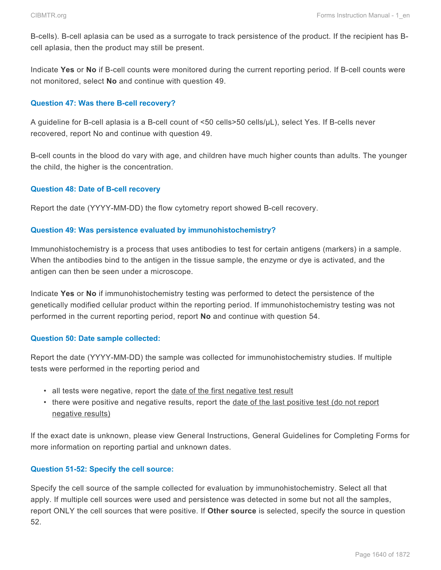B-cells). B-cell aplasia can be used as a surrogate to track persistence of the product. If the recipient has Bcell aplasia, then the product may still be present.

Indicate **Yes** or **No** if B-cell counts were monitored during the current reporting period. If B-cell counts were not monitored, select **No** and continue with question 49.

## **Question 47: Was there B-cell recovery?**

A guideline for B-cell aplasia is a B-cell count of <50 cells>50 cells/µL), select Yes. If B-cells never recovered, report No and continue with question 49.

B-cell counts in the blood do vary with age, and children have much higher counts than adults. The younger the child, the higher is the concentration.

### **Question 48: Date of B-cell recovery**

Report the date (YYYY-MM-DD) the flow cytometry report showed B-cell recovery.

### **Question 49: Was persistence evaluated by immunohistochemistry?**

Immunohistochemistry is a process that uses antibodies to test for certain antigens (markers) in a sample. When the antibodies bind to the antigen in the tissue sample, the enzyme or dye is activated, and the antigen can then be seen under a microscope.

Indicate **Yes** or **No** if immunohistochemistry testing was performed to detect the persistence of the genetically modified cellular product within the reporting period. If immunohistochemistry testing was not performed in the current reporting period, report **No** and continue with question 54.

### **Question 50: Date sample collected:**

Report the date (YYYY-MM-DD) the sample was collected for immunohistochemistry studies. If multiple tests were performed in the reporting period and

- all tests were negative, report the date of the first negative test result
- there were positive and negative results, report the date of the last positive test (do not report negative results)

If the exact date is unknown, please view General Instructions, General Guidelines for Completing Forms for more information on reporting partial and unknown dates.

### **Question 51-52: Specify the cell source:**

Specify the cell source of the sample collected for evaluation by immunohistochemistry. Select all that apply. If multiple cell sources were used and persistence was detected in some but not all the samples, report ONLY the cell sources that were positive. If **Other source** is selected, specify the source in question 52.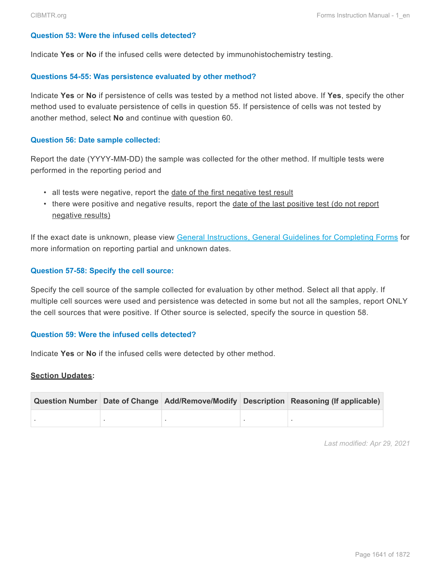#### **Question 53: Were the infused cells detected?**

Indicate **Yes** or **No** if the infused cells were detected by immunohistochemistry testing.

#### **Questions 54-55: Was persistence evaluated by other method?**

Indicate **Yes** or **No** if persistence of cells was tested by a method not listed above. If **Yes**, specify the other method used to evaluate persistence of cells in question 55. If persistence of cells was not tested by another method, select **No** and continue with question 60.

#### **Question 56: Date sample collected:**

Report the date (YYYY-MM-DD) the sample was collected for the other method. If multiple tests were performed in the reporting period and

- all tests were negative, report the date of the first negative test result
- there were positive and negative results, report the date of the last positive test (do not report negative results)

If the exact date is unknown, please view General Instructions, General Guidelines for Completing Forms for more information on reporting partial and unknown dates.

#### **Question 57-58: Specify the cell source:**

Specify the cell source of the sample collected for evaluation by other method. Select all that apply. If multiple cell sources were used and persistence was detected in some but not all the samples, report ONLY the cell sources that were positive. If Other source is selected, specify the source in question 58.

#### **Question 59: Were the infused cells detected?**

Indicate **Yes** or **No** if the infused cells were detected by other method.

#### **Section Updates:**

|  |  | Question Number Date of Change Add/Remove/Modify Description Reasoning (If applicable) |  |
|--|--|----------------------------------------------------------------------------------------|--|
|  |  |                                                                                        |  |

*Last modified: Apr 29, 2021*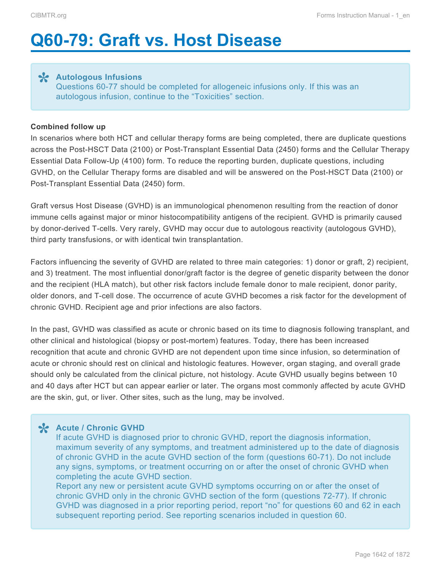# <span id="page-30-0"></span>**Q60-79: Graft vs. Host Disease**

**Autologous Infusions \*** Questions 60-77 should be completed for allogeneic infusions only. If this was an autologous infusion, continue to the "Toxicities" section.

#### **Combined follow up**

In scenarios where both HCT and cellular therapy forms are being completed, there are duplicate questions across the Post-HSCT Data (2100) or Post-Transplant Essential Data (2450) forms and the Cellular Therapy Essential Data Follow-Up (4100) form. To reduce the reporting burden, duplicate questions, including GVHD, on the Cellular Therapy forms are disabled and will be answered on the Post-HSCT Data (2100) or Post-Transplant Essential Data (2450) form.

Graft versus Host Disease (GVHD) is an immunological phenomenon resulting from the reaction of donor immune cells against major or minor histocompatibility antigens of the recipient. GVHD is primarily caused by donor-derived T-cells. Very rarely, GVHD may occur due to autologous reactivity (autologous GVHD), third party transfusions, or with identical twin transplantation.

Factors influencing the severity of GVHD are related to three main categories: 1) donor or graft, 2) recipient, and 3) treatment. The most influential donor/graft factor is the degree of genetic disparity between the donor and the recipient (HLA match), but other risk factors include female donor to male recipient, donor parity, older donors, and T-cell dose. The occurrence of acute GVHD becomes a risk factor for the development of chronic GVHD. Recipient age and prior infections are also factors.

In the past, GVHD was classified as acute or chronic based on its time to diagnosis following transplant, and other clinical and histological (biopsy or post-mortem) features. Today, there has been increased recognition that acute and chronic GVHD are not dependent upon time since infusion, so determination of acute or chronic should rest on clinical and histologic features. However, organ staging, and overall grade should only be calculated from the clinical picture, not histology. Acute GVHD usually begins between 10 and 40 days after HCT but can appear earlier or later. The organs most commonly affected by acute GVHD are the skin, gut, or liver. Other sites, such as the lung, may be involved.

**Acute / Chronic GVHD \*** If acute GVHD is diagnosed prior to chronic GVHD, report the diagnosis information, maximum severity of any symptoms, and treatment administered up to the date of diagnosis of chronic GVHD in the acute GVHD section of the form (questions 60-71). Do not include any signs, symptoms, or treatment occurring on or after the onset of chronic GVHD when completing the acute GVHD section.

Report any new or persistent acute GVHD symptoms occurring on or after the onset of chronic GVHD only in the chronic GVHD section of the form (questions 72-77). If chronic GVHD was diagnosed in a prior reporting period, report "no" for questions 60 and 62 in each subsequent reporting period. See reporting scenarios included in question 60.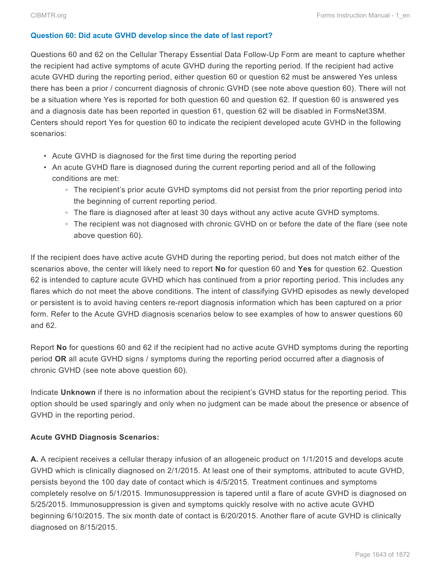### **Question 60: Did acute GVHD develop since the date of last report?**

Questions 60 and 62 on the Cellular Therapy Essential Data Follow-Up Form are meant to capture whether the recipient had active symptoms of acute GVHD during the reporting period. If the recipient had active acute GVHD during the reporting period, either question 60 or question 62 must be answered Yes unless there has been a prior / concurrent diagnosis of chronic GVHD (see note above question 60). There will not be a situation where Yes is reported for both question 60 and question 62. If question 60 is answered yes and a diagnosis date has been reported in question 61, question 62 will be disabled in FormsNet3SM. Centers should report Yes for question 60 to indicate the recipient developed acute GVHD in the following scenarios:

- Acute GVHD is diagnosed for the first time during the reporting period
- An acute GVHD flare is diagnosed during the current reporting period and all of the following conditions are met:
	- The recipient's prior acute GVHD symptoms did not persist from the prior reporting period into the beginning of current reporting period.
	- The flare is diagnosed after at least 30 days without any active acute GVHD symptoms.
	- The recipient was not diagnosed with chronic GVHD on or before the date of the flare (see note above question 60).

If the recipient does have active acute GVHD during the reporting period, but does not match either of the scenarios above, the center will likely need to report **No** for question 60 and **Yes** for question 62. Question 62 is intended to capture acute GVHD which has continued from a prior reporting period. This includes any flares which do not meet the above conditions. The intent of classifying GVHD episodes as newly developed or persistent is to avoid having centers re-report diagnosis information which has been captured on a prior form. Refer to the Acute GVHD diagnosis scenarios below to see examples of how to answer questions 60 and 62.

Report **No** for questions 60 and 62 if the recipient had no active acute GVHD symptoms during the reporting period **OR** all acute GVHD signs / symptoms during the reporting period occurred after a diagnosis of chronic GVHD (see note above question 60).

Indicate **Unknown** if there is no information about the recipient's GVHD status for the reporting period. This option should be used sparingly and only when no judgment can be made about the presence or absence of GVHD in the reporting period.

### **Acute GVHD Diagnosis Scenarios:**

**A.** A recipient receives a cellular therapy infusion of an allogeneic product on 1/1/2015 and develops acute GVHD which is clinically diagnosed on 2/1/2015. At least one of their symptoms, attributed to acute GVHD, persists beyond the 100 day date of contact which is 4/5/2015. Treatment continues and symptoms completely resolve on 5/1/2015. Immunosuppression is tapered until a flare of acute GVHD is diagnosed on 5/25/2015. Immunosuppression is given and symptoms quickly resolve with no active acute GVHD beginning 6/10/2015. The six month date of contact is 6/20/2015. Another flare of acute GVHD is clinically diagnosed on 8/15/2015.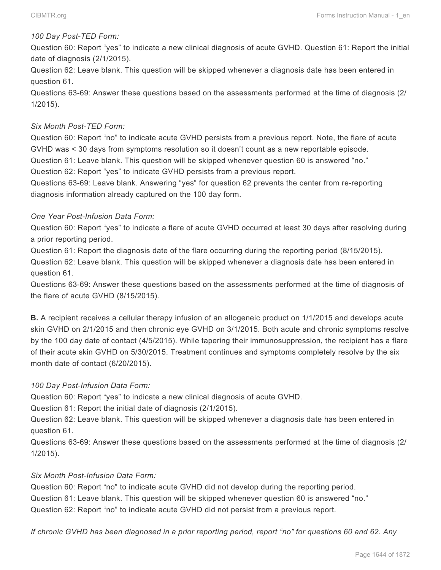#### *100 Day Post-TED Form:*

Question 60: Report "yes" to indicate a new clinical diagnosis of acute GVHD. Question 61: Report the initial date of diagnosis (2/1/2015).

Question 62: Leave blank. This question will be skipped whenever a diagnosis date has been entered in question 61.

Questions 63-69: Answer these questions based on the assessments performed at the time of diagnosis (2/ 1/2015).

#### *Six Month Post-TED Form:*

Question 60: Report "no" to indicate acute GVHD persists from a previous report. Note, the flare of acute GVHD was < 30 days from symptoms resolution so it doesn't count as a new reportable episode. Question 61: Leave blank. This question will be skipped whenever question 60 is answered "no."

Question 62: Report "yes" to indicate GVHD persists from a previous report.

Questions 63-69: Leave blank. Answering "yes" for question 62 prevents the center from re-reporting diagnosis information already captured on the 100 day form.

### *One Year Post-Infusion Data Form:*

Question 60: Report "yes" to indicate a flare of acute GVHD occurred at least 30 days after resolving during a prior reporting period.

Question 61: Report the diagnosis date of the flare occurring during the reporting period (8/15/2015).

Question 62: Leave blank. This question will be skipped whenever a diagnosis date has been entered in question 61.

Questions 63-69: Answer these questions based on the assessments performed at the time of diagnosis of the flare of acute GVHD (8/15/2015).

**B.** A recipient receives a cellular therapy infusion of an allogeneic product on 1/1/2015 and develops acute skin GVHD on 2/1/2015 and then chronic eye GVHD on 3/1/2015. Both acute and chronic symptoms resolve by the 100 day date of contact (4/5/2015). While tapering their immunosuppression, the recipient has a flare of their acute skin GVHD on 5/30/2015. Treatment continues and symptoms completely resolve by the six month date of contact (6/20/2015).

### *100 Day Post-Infusion Data Form:*

Question 60: Report "yes" to indicate a new clinical diagnosis of acute GVHD.

Question 61: Report the initial date of diagnosis (2/1/2015).

Question 62: Leave blank. This question will be skipped whenever a diagnosis date has been entered in question 61.

Questions 63-69: Answer these questions based on the assessments performed at the time of diagnosis (2/ 1/2015).

### *Six Month Post-Infusion Data Form:*

Question 60: Report "no" to indicate acute GVHD did not develop during the reporting period. Question 61: Leave blank. This question will be skipped whenever question 60 is answered "no." Question 62: Report "no" to indicate acute GVHD did not persist from a previous report.

*If chronic GVHD has been diagnosed in a prior reporting period, report "no" for questions 60 and 62. Any*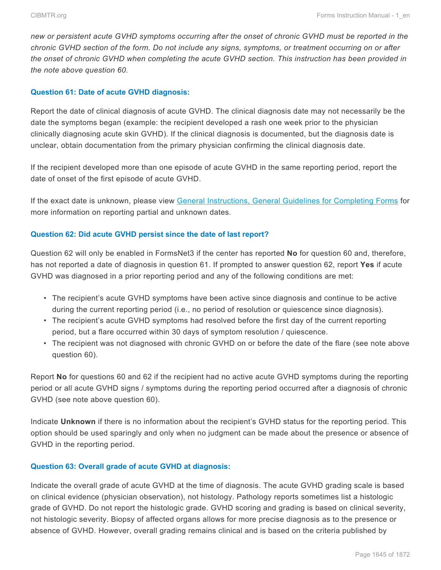*new or persistent acute GVHD symptoms occurring after the onset of chronic GVHD must be reported in the chronic GVHD section of the form. Do not include any signs, symptoms, or treatment occurring on or after the onset of chronic GVHD when completing the acute GVHD section. This instruction has been provided in the note above question 60.*

### **Question 61: Date of acute GVHD diagnosis:**

Report the date of clinical diagnosis of acute GVHD. The clinical diagnosis date may not necessarily be the date the symptoms began (example: the recipient developed a rash one week prior to the physician clinically diagnosing acute skin GVHD). If the clinical diagnosis is documented, but the diagnosis date is unclear, obtain documentation from the primary physician confirming the clinical diagnosis date.

If the recipient developed more than one episode of acute GVHD in the same reporting period, report the date of onset of the first episode of acute GVHD.

If the exact date is unknown, please view General Instructions, General Guidelines for Completing Forms for more information on reporting partial and unknown dates.

#### **Question 62: Did acute GVHD persist since the date of last report?**

Question 62 will only be enabled in FormsNet3 if the center has reported **No** for question 60 and, therefore, has not reported a date of diagnosis in question 61. If prompted to answer question 62, report **Yes** if acute GVHD was diagnosed in a prior reporting period and any of the following conditions are met:

- The recipient's acute GVHD symptoms have been active since diagnosis and continue to be active during the current reporting period (i.e., no period of resolution or quiescence since diagnosis).
- The recipient's acute GVHD symptoms had resolved before the first day of the current reporting period, but a flare occurred within 30 days of symptom resolution / quiescence.
- The recipient was not diagnosed with chronic GVHD on or before the date of the flare (see note above question 60).

Report **No** for questions 60 and 62 if the recipient had no active acute GVHD symptoms during the reporting period or all acute GVHD signs / symptoms during the reporting period occurred after a diagnosis of chronic GVHD (see note above question 60).

Indicate **Unknown** if there is no information about the recipient's GVHD status for the reporting period. This option should be used sparingly and only when no judgment can be made about the presence or absence of GVHD in the reporting period.

### **Question 63: Overall grade of acute GVHD at diagnosis:**

Indicate the overall grade of acute GVHD at the time of diagnosis. The acute GVHD grading scale is based on clinical evidence (physician observation), not histology. Pathology reports sometimes list a histologic grade of GVHD. Do not report the histologic grade. GVHD scoring and grading is based on clinical severity, not histologic severity. Biopsy of affected organs allows for more precise diagnosis as to the presence or absence of GVHD. However, overall grading remains clinical and is based on the criteria published by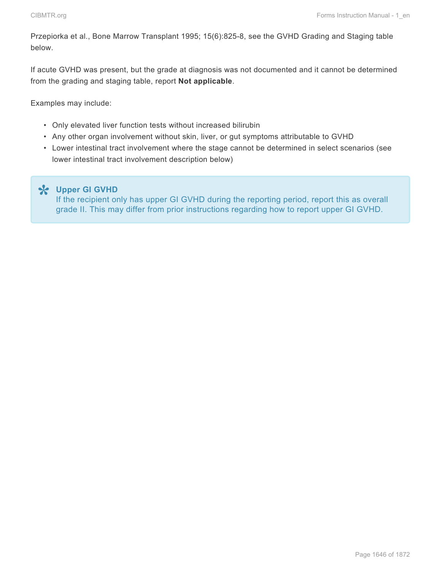Przepiorka et al., Bone Marrow Transplant 1995; 15(6):825-8, see the GVHD Grading and Staging table below.

If acute GVHD was present, but the grade at diagnosis was not documented and it cannot be determined from the grading and staging table, report **Not applicable**.

Examples may include:

- Only elevated liver function tests without increased bilirubin
- Any other organ involvement without skin, liver, or gut symptoms attributable to GVHD
- Lower intestinal tract involvement where the stage cannot be determined in select scenarios (see lower intestinal tract involvement description below)

**Upper GI GVHD \*** If the recipient only has upper GI GVHD during the reporting period, report this as overall grade II. This may differ from prior instructions regarding how to report upper GI GVHD.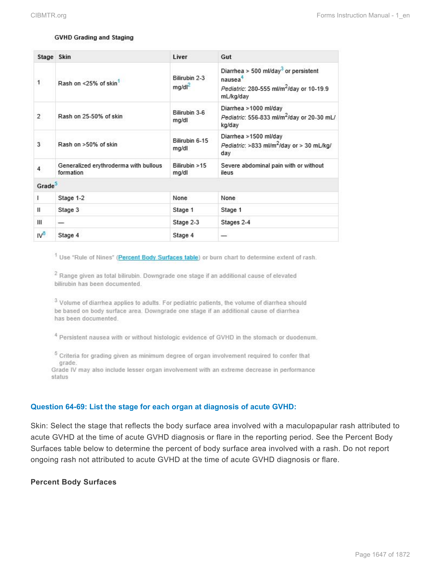#### **GVHD Grading and Staging**

|                 | Stage Skin                                         | Liver                               | Gut                                                                                                                                          |
|-----------------|----------------------------------------------------|-------------------------------------|----------------------------------------------------------------------------------------------------------------------------------------------|
| $\mathbf{1}$    | Rash on <25% of skin1                              | Bilirubin 2-3<br>mg/dl <sup>2</sup> | Diarrhea > 500 ml/day <sup>3</sup> or persistent<br>nausea <sup>4</sup><br>Pediatric: 280-555 ml/m <sup>2</sup> /day or 10-19.9<br>mL/kg/day |
| $\overline{2}$  | Rash on 25-50% of skin                             | Bilirubin 3-6<br>mg/dl              | Diarrhea >1000 ml/day<br>Pediatric: 556-833 ml/m <sup>2</sup> /day or 20-30 mL/<br>kg/day                                                    |
| $\overline{3}$  | Rash on >50% of skin                               | Bilirubin 6-15<br>mg/dl             | Diarrhea >1500 ml/day<br>Pediatric: >833 ml/m <sup>2</sup> /day or > 30 mL/kg/<br>day                                                        |
| $\overline{4}$  | Generalized erythroderma with bullous<br>formation | Bilirubin > 15<br>mg/dl             | Severe abdominal pain with or without<br>ileus                                                                                               |
| Grade           |                                                    |                                     |                                                                                                                                              |
| ı               | Stage 1-2                                          | None                                | None                                                                                                                                         |
| Ш               | Stage 3                                            | Stage 1                             | Stage 1                                                                                                                                      |
| Ш               |                                                    | Stage 2-3                           | Stages 2-4                                                                                                                                   |
| IV <sup>8</sup> | Stage 4                                            | Stage 4                             |                                                                                                                                              |

<sup>1</sup> Use "Rule of Nines" (Percent Body Surfaces table) or burn chart to determine extent of rash.

<sup>2</sup> Range given as total bilirubin. Downgrade one stage if an additional cause of elevated bilirubin has been documented.

<sup>3</sup> Volume of diarrhea applies to adults. For pediatric patients, the volume of diarrhea should be based on body surface area. Downgrade one stage if an additional cause of diarrhea has been documented.

<sup>4</sup> Persistent nausea with or without histologic evidence of GVHD in the stomach or duodenum.

 $5$  Criteria for grading given as minimum degree of organ involvement required to confer that grade.

Grade IV may also include lesser organ involvement with an extreme decrease in performance status

#### **Question 64-69: List the stage for each organ at diagnosis of acute GVHD:**

Skin: Select the stage that reflects the body surface area involved with a maculopapular rash attributed to acute GVHD at the time of acute GVHD diagnosis or flare in the reporting period. See the Percent Body Surfaces table below to determine the percent of body surface area involved with a rash. Do not report ongoing rash not attributed to acute GVHD at the time of acute GVHD diagnosis or flare.

#### **Percent Body Surfaces**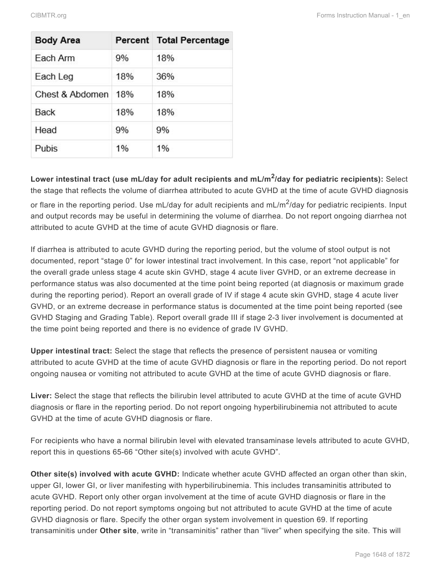| <b>Body Area</b> |     | Percent Total Percentage |
|------------------|-----|--------------------------|
| Each Arm         | 9%  | 18%                      |
| Each Leg         | 18% | 36%                      |
| Chest & Abdomen  | 18% | 18%                      |
| Back             | 18% | 18%                      |
| Head             | 9%  | 9%                       |
| Pubis            | 1%  | 1%                       |

**Lower intestinal tract (use mL/day for adult recipients and mL/m<sup>2</sup> /day for pediatric recipients):** Select the stage that reflects the volume of diarrhea attributed to acute GVHD at the time of acute GVHD diagnosis or flare in the reporting period. Use mL/day for adult recipients and mL/m<sup>2</sup>/day for pediatric recipients. Input and output records may be useful in determining the volume of diarrhea. Do not report ongoing diarrhea not attributed to acute GVHD at the time of acute GVHD diagnosis or flare.

If diarrhea is attributed to acute GVHD during the reporting period, but the volume of stool output is not documented, report "stage 0" for lower intestinal tract involvement. In this case, report "not applicable" for the overall grade unless stage 4 acute skin GVHD, stage 4 acute liver GVHD, or an extreme decrease in performance status was also documented at the time point being reported (at diagnosis or maximum grade during the reporting period). Report an overall grade of IV if stage 4 acute skin GVHD, stage 4 acute liver GVHD, or an extreme decrease in performance status is documented at the time point being reported (see GVHD Staging and Grading Table). Report overall grade III if stage 2-3 liver involvement is documented at the time point being reported and there is no evidence of grade IV GVHD.

**Upper intestinal tract:** Select the stage that reflects the presence of persistent nausea or vomiting attributed to acute GVHD at the time of acute GVHD diagnosis or flare in the reporting period. Do not report ongoing nausea or vomiting not attributed to acute GVHD at the time of acute GVHD diagnosis or flare.

**Liver:** Select the stage that reflects the bilirubin level attributed to acute GVHD at the time of acute GVHD diagnosis or flare in the reporting period. Do not report ongoing hyperbilirubinemia not attributed to acute GVHD at the time of acute GVHD diagnosis or flare.

For recipients who have a normal bilirubin level with elevated transaminase levels attributed to acute GVHD, report this in questions 65-66 "Other site(s) involved with acute GVHD".

**Other site(s) involved with acute GVHD:** Indicate whether acute GVHD affected an organ other than skin, upper GI, lower GI, or liver manifesting with hyperbilirubinemia. This includes transaminitis attributed to acute GVHD. Report only other organ involvement at the time of acute GVHD diagnosis or flare in the reporting period. Do not report symptoms ongoing but not attributed to acute GVHD at the time of acute GVHD diagnosis or flare. Specify the other organ system involvement in question 69. If reporting transaminitis under **Other site**, write in "transaminitis" rather than "liver" when specifying the site. This will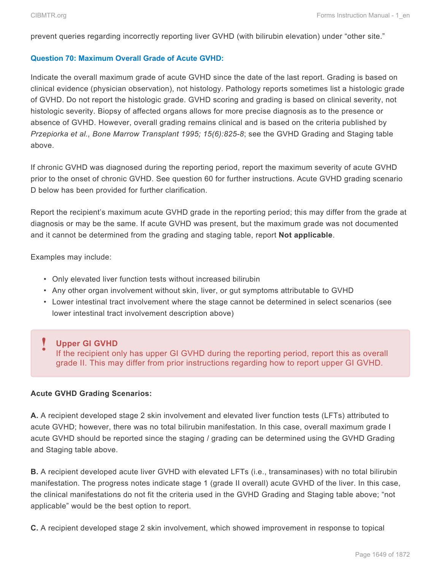prevent queries regarding incorrectly reporting liver GVHD (with bilirubin elevation) under "other site."

#### **Question 70: Maximum Overall Grade of Acute GVHD:**

Indicate the overall maximum grade of acute GVHD since the date of the last report. Grading is based on clinical evidence (physician observation), not histology. Pathology reports sometimes list a histologic grade of GVHD. Do not report the histologic grade. GVHD scoring and grading is based on clinical severity, not histologic severity. Biopsy of affected organs allows for more precise diagnosis as to the presence or absence of GVHD. However, overall grading remains clinical and is based on the criteria published by *Przepiorka et al., Bone Marrow Transplant 1995; 15(6):825-8*; see the GVHD Grading and Staging table above.

If chronic GVHD was diagnosed during the reporting period, report the maximum severity of acute GVHD prior to the onset of chronic GVHD. See question 60 for further instructions. Acute GVHD grading scenario D below has been provided for further clarification.

Report the recipient's maximum acute GVHD grade in the reporting period; this may differ from the grade at diagnosis or may be the same. If acute GVHD was present, but the maximum grade was not documented and it cannot be determined from the grading and staging table, report **Not applicable**.

Examples may include:

- Only elevated liver function tests without increased bilirubin
- Any other organ involvement without skin, liver, or gut symptoms attributable to GVHD
- Lower intestinal tract involvement where the stage cannot be determined in select scenarios (see lower intestinal tract involvement description above)

### **Upper GI GVHD !**

If the recipient only has upper GI GVHD during the reporting period, report this as overall grade II. This may differ from prior instructions regarding how to report upper GI GVHD.

### **Acute GVHD Grading Scenarios:**

**A.** A recipient developed stage 2 skin involvement and elevated liver function tests (LFTs) attributed to acute GVHD; however, there was no total bilirubin manifestation. In this case, overall maximum grade I acute GVHD should be reported since the staging / grading can be determined using the GVHD Grading and Staging table above.

**B.** A recipient developed acute liver GVHD with elevated LFTs (i.e., transaminases) with no total bilirubin manifestation. The progress notes indicate stage 1 (grade II overall) acute GVHD of the liver. In this case, the clinical manifestations do not fit the criteria used in the GVHD Grading and Staging table above; "not applicable" would be the best option to report.

**C.** A recipient developed stage 2 skin involvement, which showed improvement in response to topical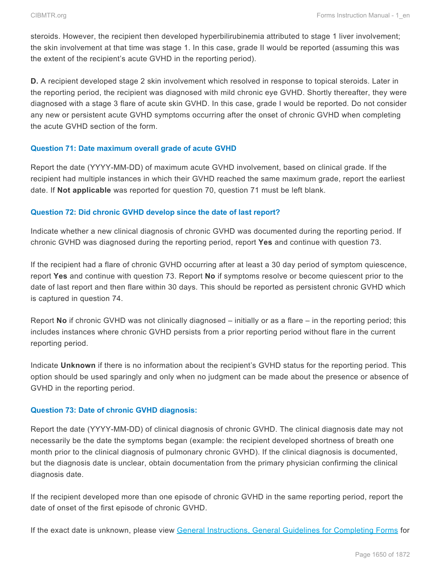steroids. However, the recipient then developed hyperbilirubinemia attributed to stage 1 liver involvement; the skin involvement at that time was stage 1. In this case, grade II would be reported (assuming this was the extent of the recipient's acute GVHD in the reporting period).

**D.** A recipient developed stage 2 skin involvement which resolved in response to topical steroids. Later in the reporting period, the recipient was diagnosed with mild chronic eye GVHD. Shortly thereafter, they were diagnosed with a stage 3 flare of acute skin GVHD. In this case, grade I would be reported. Do not consider any new or persistent acute GVHD symptoms occurring after the onset of chronic GVHD when completing the acute GVHD section of the form.

### **Question 71: Date maximum overall grade of acute GVHD**

Report the date (YYYY-MM-DD) of maximum acute GVHD involvement, based on clinical grade. If the recipient had multiple instances in which their GVHD reached the same maximum grade, report the earliest date. If **Not applicable** was reported for question 70, question 71 must be left blank.

### **Question 72: Did chronic GVHD develop since the date of last report?**

Indicate whether a new clinical diagnosis of chronic GVHD was documented during the reporting period. If chronic GVHD was diagnosed during the reporting period, report **Yes** and continue with question 73.

If the recipient had a flare of chronic GVHD occurring after at least a 30 day period of symptom quiescence, report **Yes** and continue with question 73. Report **No** if symptoms resolve or become quiescent prior to the date of last report and then flare within 30 days. This should be reported as persistent chronic GVHD which is captured in question 74.

Report **No** if chronic GVHD was not clinically diagnosed – initially or as a flare – in the reporting period; this includes instances where chronic GVHD persists from a prior reporting period without flare in the current reporting period.

Indicate **Unknown** if there is no information about the recipient's GVHD status for the reporting period. This option should be used sparingly and only when no judgment can be made about the presence or absence of GVHD in the reporting period.

### **Question 73: Date of chronic GVHD diagnosis:**

Report the date (YYYY-MM-DD) of clinical diagnosis of chronic GVHD. The clinical diagnosis date may not necessarily be the date the symptoms began (example: the recipient developed shortness of breath one month prior to the clinical diagnosis of pulmonary chronic GVHD). If the clinical diagnosis is documented, but the diagnosis date is unclear, obtain documentation from the primary physician confirming the clinical diagnosis date.

If the recipient developed more than one episode of chronic GVHD in the same reporting period, report the date of onset of the first episode of chronic GVHD.

If the exact date is unknown, please view General Instructions, General Guidelines for Completing Forms for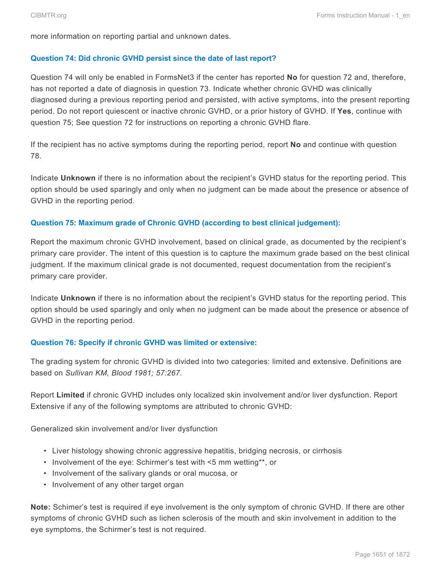more information on reporting partial and unknown dates.

#### **Question 74: Did chronic GVHD persist since the date of last report?**

Question 74 will only be enabled in FormsNet3 if the center has reported **No** for question 72 and, therefore, has not reported a date of diagnosis in question 73. Indicate whether chronic GVHD was clinically diagnosed during a previous reporting period and persisted, with active symptoms, into the present reporting period. Do not report quiescent or inactive chronic GVHD, or a prior history of GVHD. If **Yes**, continue with question 75; See question 72 for instructions on reporting a chronic GVHD flare.

If the recipient has no active symptoms during the reporting period, report **No** and continue with question 78.

Indicate **Unknown** if there is no information about the recipient's GVHD status for the reporting period. This option should be used sparingly and only when no judgment can be made about the presence or absence of GVHD in the reporting period.

### **Question 75: Maximum grade of Chronic GVHD (according to best clinical judgement):**

Report the maximum chronic GVHD involvement, based on clinical grade, as documented by the recipient's primary care provider. The intent of this question is to capture the maximum grade based on the best clinical judgment. If the maximum clinical grade is not documented, request documentation from the recipient's primary care provider.

Indicate **Unknown** if there is no information about the recipient's GVHD status for the reporting period. This option should be used sparingly and only when no judgment can be made about the presence or absence of GVHD in the reporting period.

### **Question 76: Specify if chronic GVHD was limited or extensive:**

The grading system for chronic GVHD is divided into two categories: limited and extensive. Definitions are based on *Sullivan KM, Blood 1981; 57:267*.

Report **Limited** if chronic GVHD includes only localized skin involvement and/or liver dysfunction. Report Extensive if any of the following symptoms are attributed to chronic GVHD:

Generalized skin involvement and/or liver dysfunction

- Liver histology showing chronic aggressive hepatitis, bridging necrosis, or cirrhosis
- Involvement of the eye: Schirmer's test with <5 mm wetting\*\*, or
- Involvement of the salivary glands or oral mucosa, or
- Involvement of any other target organ

**Note:** Schimer's test is required if eye involvement is the only symptom of chronic GVHD. If there are other symptoms of chronic GVHD such as lichen sclerosis of the mouth and skin involvement in addition to the eye symptoms, the Schirmer's test is not required.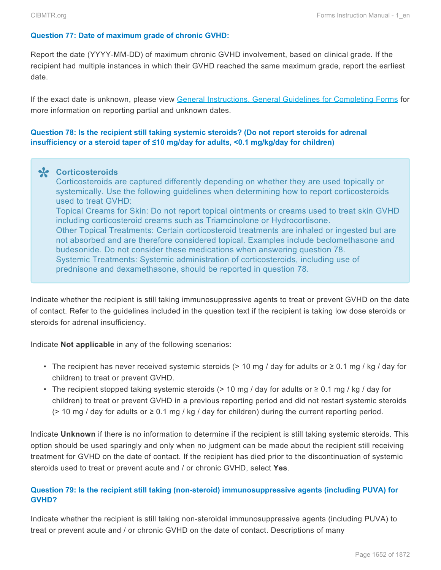### **Question 77: Date of maximum grade of chronic GVHD:**

Report the date (YYYY-MM-DD) of maximum chronic GVHD involvement, based on clinical grade. If the recipient had multiple instances in which their GVHD reached the same maximum grade, report the earliest date.

If the exact date is unknown, please view General Instructions, General Guidelines for Completing Forms for more information on reporting partial and unknown dates.

## **Question 78: Is the recipient still taking systemic steroids? (Do not report steroids for adrenal insufficiency or a steroid taper of ≤10 mg/day for adults, <0.1 mg/kg/day for children)**

**Corticosteroids \*** Corticosteroids are captured differently depending on whether they are used topically or systemically. Use the following guidelines when determining how to report corticosteroids used to treat GVHD: Topical Creams for Skin: Do not report topical ointments or creams used to treat skin GVHD including corticosteroid creams such as Triamcinolone or Hydrocortisone. Other Topical Treatments: Certain corticosteroid treatments are inhaled or ingested but are not absorbed and are therefore considered topical. Examples include beclomethasone and budesonide. Do not consider these medications when answering question 78. Systemic Treatments: Systemic administration of corticosteroids, including use of prednisone and dexamethasone, should be reported in question 78.

Indicate whether the recipient is still taking immunosuppressive agents to treat or prevent GVHD on the date of contact. Refer to the guidelines included in the question text if the recipient is taking low dose steroids or steroids for adrenal insufficiency.

Indicate **Not applicable** in any of the following scenarios:

- The recipient has never received systemic steroids (> 10 mg / day for adults or  $\geq$  0.1 mg / kg / day for children) to treat or prevent GVHD.
- The recipient stopped taking systemic steroids (> 10 mg / day for adults or  $\geq$  0.1 mg / kg / day for children) to treat or prevent GVHD in a previous reporting period and did not restart systemic steroids ( $>$  10 mg / day for adults or  $\geq$  0.1 mg / kg / day for children) during the current reporting period.

Indicate **Unknown** if there is no information to determine if the recipient is still taking systemic steroids. This option should be used sparingly and only when no judgment can be made about the recipient still receiving treatment for GVHD on the date of contact. If the recipient has died prior to the discontinuation of systemic steroids used to treat or prevent acute and / or chronic GVHD, select **Yes**.

## **Question 79: Is the recipient still taking (non-steroid) immunosuppressive agents (including PUVA) for GVHD?**

Indicate whether the recipient is still taking non-steroidal immunosuppressive agents (including PUVA) to treat or prevent acute and / or chronic GVHD on the date of contact. Descriptions of many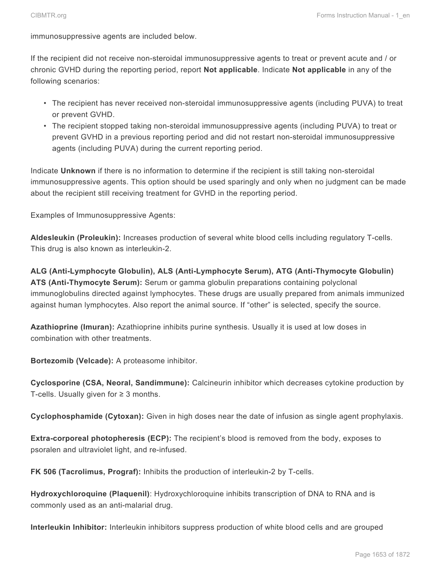immunosuppressive agents are included below.

If the recipient did not receive non-steroidal immunosuppressive agents to treat or prevent acute and / or chronic GVHD during the reporting period, report **Not applicable**. Indicate **Not applicable** in any of the following scenarios:

- The recipient has never received non-steroidal immunosuppressive agents (including PUVA) to treat or prevent GVHD.
- The recipient stopped taking non-steroidal immunosuppressive agents (including PUVA) to treat or prevent GVHD in a previous reporting period and did not restart non-steroidal immunosuppressive agents (including PUVA) during the current reporting period.

Indicate **Unknown** if there is no information to determine if the recipient is still taking non-steroidal immunosuppressive agents. This option should be used sparingly and only when no judgment can be made about the recipient still receiving treatment for GVHD in the reporting period.

Examples of Immunosuppressive Agents:

**Aldesleukin (Proleukin):** Increases production of several white blood cells including regulatory T-cells. This drug is also known as interleukin-2.

**ALG (Anti-Lymphocyte Globulin), ALS (Anti-Lymphocyte Serum), ATG (Anti-Thymocyte Globulin) ATS (Anti-Thymocyte Serum):** Serum or gamma globulin preparations containing polyclonal immunoglobulins directed against lymphocytes. These drugs are usually prepared from animals immunized against human lymphocytes. Also report the animal source. If "other" is selected, specify the source.

**Azathioprine (Imuran):** Azathioprine inhibits purine synthesis. Usually it is used at low doses in combination with other treatments.

**Bortezomib (Velcade):** A proteasome inhibitor.

**Cyclosporine (CSA, Neoral, Sandimmune):** Calcineurin inhibitor which decreases cytokine production by T-cells. Usually given for  $≥$  3 months.

**Cyclophosphamide (Cytoxan):** Given in high doses near the date of infusion as single agent prophylaxis.

**Extra-corporeal photopheresis (ECP):** The recipient's blood is removed from the body, exposes to psoralen and ultraviolet light, and re-infused.

**FK 506 (Tacrolimus, Prograf):** Inhibits the production of interleukin-2 by T-cells.

**Hydroxychloroquine (Plaquenil)**: Hydroxychloroquine inhibits transcription of DNA to RNA and is commonly used as an anti-malarial drug.

**Interleukin Inhibitor:** Interleukin inhibitors suppress production of white blood cells and are grouped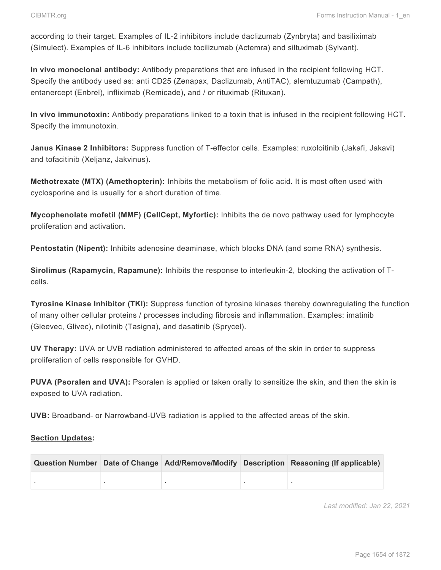according to their target. Examples of IL-2 inhibitors include daclizumab (Zynbryta) and basiliximab (Simulect). Examples of IL-6 inhibitors include tocilizumab (Actemra) and siltuximab (Sylvant).

**In vivo monoclonal antibody:** Antibody preparations that are infused in the recipient following HCT. Specify the antibody used as: anti CD25 (Zenapax, Daclizumab, AntiTAC), alemtuzumab (Campath), entanercept (Enbrel), infliximab (Remicade), and / or rituximab (Rituxan).

**In vivo immunotoxin:** Antibody preparations linked to a toxin that is infused in the recipient following HCT. Specify the immunotoxin.

**Janus Kinase 2 Inhibitors:** Suppress function of T-effector cells. Examples: ruxoloitinib (Jakafi, Jakavi) and tofacitinib (Xeljanz, Jakvinus).

**Methotrexate (MTX) (Amethopterin):** Inhibits the metabolism of folic acid. It is most often used with cyclosporine and is usually for a short duration of time.

**Mycophenolate mofetil (MMF) (CellCept, Myfortic):** Inhibits the de novo pathway used for lymphocyte proliferation and activation.

**Pentostatin (Nipent):** Inhibits adenosine deaminase, which blocks DNA (and some RNA) synthesis.

**Sirolimus (Rapamycin, Rapamune):** Inhibits the response to interleukin-2, blocking the activation of Tcells.

**Tyrosine Kinase Inhibitor (TKI):** Suppress function of tyrosine kinases thereby downregulating the function of many other cellular proteins / processes including fibrosis and inflammation. Examples: imatinib (Gleevec, Glivec), nilotinib (Tasigna), and dasatinib (Sprycel).

**UV Therapy:** UVA or UVB radiation administered to affected areas of the skin in order to suppress proliferation of cells responsible for GVHD.

**PUVA (Psoralen and UVA):** Psoralen is applied or taken orally to sensitize the skin, and then the skin is exposed to UVA radiation.

**UVB:** Broadband- or Narrowband-UVB radiation is applied to the affected areas of the skin.

### **Section Updates:**

|  |  | Question Number Date of Change Add/Remove/Modify Description Reasoning (If applicable) |  |
|--|--|----------------------------------------------------------------------------------------|--|
|  |  |                                                                                        |  |

*Last modified: Jan 22, 2021*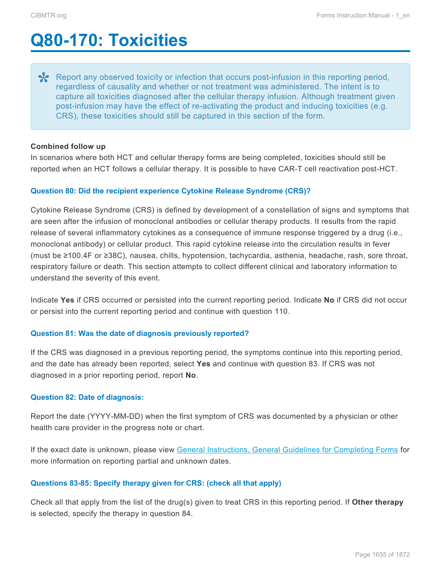# <span id="page-43-0"></span>**Q80-170: Toxicities**

Report any observed toxicity or infection that occurs post-infusion in this reporting period, regardless of causality and whether or not treatment was administered. The intent is to regardless of causality and whether or not treatment was administered. The intent is to capture all toxicities diagnosed after the cellular therapy infusion. Although treatment given post-infusion may have the effect of re-activating the product and inducing toxicities (e.g. CRS), these toxicities should still be captured in this section of the form.

#### **Combined follow up**

In scenarios where both HCT and cellular therapy forms are being completed, toxicities should still be reported when an HCT follows a cellular therapy. It is possible to have CAR-T cell reactivation post-HCT.

#### **Question 80: Did the recipient experience Cytokine Release Syndrome (CRS)?**

Cytokine Release Syndrome (CRS) is defined by development of a constellation of signs and symptoms that are seen after the infusion of monoclonal antibodies or cellular therapy products. It results from the rapid release of several inflammatory cytokines as a consequence of immune response triggered by a drug (i.e., monoclonal antibody) or cellular product. This rapid cytokine release into the circulation results in fever (must be ≥100.4F or ≥38C), nausea, chills, hypotension, tachycardia, asthenia, headache, rash, sore throat, respiratory failure or death. This section attempts to collect different clinical and laboratory information to understand the severity of this event.

Indicate **Yes** if CRS occurred or persisted into the current reporting period. Indicate **No** if CRS did not occur or persist into the current reporting period and continue with question 110.

#### **Question 81: Was the date of diagnosis previously reported?**

If the CRS was diagnosed in a previous reporting period, the symptoms continue into this reporting period, and the date has already been reported, select **Yes** and continue with question 83. If CRS was not diagnosed in a prior reporting period, report **No**.

#### **Question 82: Date of diagnosis:**

Report the date (YYYY-MM-DD) when the first symptom of CRS was documented by a physician or other health care provider in the progress note or chart.

If the exact date is unknown, please view General Instructions, General Guidelines for Completing Forms for more information on reporting partial and unknown dates.

### **Questions 83-85: Specify therapy given for CRS: (check all that apply)**

Check all that apply from the list of the drug(s) given to treat CRS in this reporting period. If **Other therapy** is selected, specify the therapy in question 84.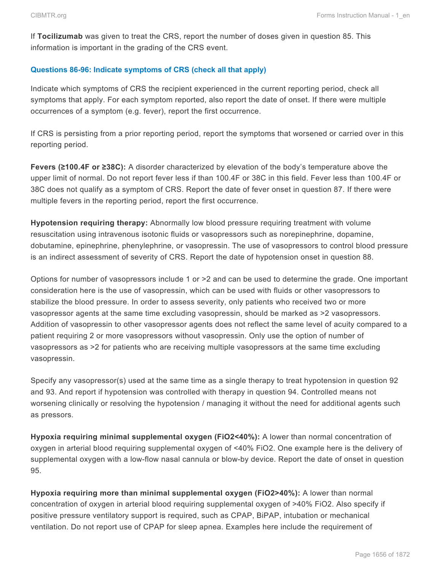If **Tocilizumab** was given to treat the CRS, report the number of doses given in question 85. This information is important in the grading of the CRS event.

## **Questions 86-96: Indicate symptoms of CRS (check all that apply)**

Indicate which symptoms of CRS the recipient experienced in the current reporting period, check all symptoms that apply. For each symptom reported, also report the date of onset. If there were multiple occurrences of a symptom (e.g. fever), report the first occurrence.

If CRS is persisting from a prior reporting period, report the symptoms that worsened or carried over in this reporting period.

**Fevers (≥100.4F or ≥38C):** A disorder characterized by elevation of the body's temperature above the upper limit of normal. Do not report fever less if than 100.4F or 38C in this field. Fever less than 100.4F or 38C does not qualify as a symptom of CRS. Report the date of fever onset in question 87. If there were multiple fevers in the reporting period, report the first occurrence.

**Hypotension requiring therapy:** Abnormally low blood pressure requiring treatment with volume resuscitation using intravenous isotonic fluids or vasopressors such as norepinephrine, dopamine, dobutamine, epinephrine, phenylephrine, or vasopressin. The use of vasopressors to control blood pressure is an indirect assessment of severity of CRS. Report the date of hypotension onset in question 88.

Options for number of vasopressors include 1 or >2 and can be used to determine the grade. One important consideration here is the use of vasopressin, which can be used with fluids or other vasopressors to stabilize the blood pressure. In order to assess severity, only patients who received two or more vasopressor agents at the same time excluding vasopressin, should be marked as >2 vasopressors. Addition of vasopressin to other vasopressor agents does not reflect the same level of acuity compared to a patient requiring 2 or more vasopressors without vasopressin. Only use the option of number of vasopressors as >2 for patients who are receiving multiple vasopressors at the same time excluding vasopressin.

Specify any vasopressor(s) used at the same time as a single therapy to treat hypotension in question 92 and 93. And report if hypotension was controlled with therapy in question 94. Controlled means not worsening clinically or resolving the hypotension / managing it without the need for additional agents such as pressors.

**Hypoxia requiring minimal supplemental oxygen (FiO2<40%):** A lower than normal concentration of oxygen in arterial blood requiring supplemental oxygen of <40% FiO2. One example here is the delivery of supplemental oxygen with a low-flow nasal cannula or blow-by device. Report the date of onset in question 95.

**Hypoxia requiring more than minimal supplemental oxygen (FiO2>40%):** A lower than normal concentration of oxygen in arterial blood requiring supplemental oxygen of >40% FiO2. Also specify if positive pressure ventilatory support is required, such as CPAP, BiPAP, intubation or mechanical ventilation. Do not report use of CPAP for sleep apnea. Examples here include the requirement of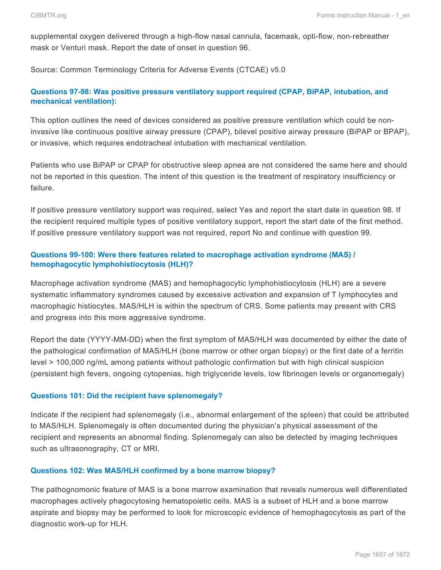supplemental oxygen delivered through a high-flow nasal cannula, facemask, opti-flow, non-rebreather mask or Venturi mask. Report the date of onset in question 96.

Source: Common Terminology Criteria for Adverse Events (CTCAE) v5.0

# **Questions 97-98: Was positive pressure ventilatory support required (CPAP, BiPAP, intubation, and mechanical ventilation):**

This option outlines the need of devices considered as positive pressure ventilation which could be noninvasive like continuous positive airway pressure (CPAP), bilevel positive airway pressure (BiPAP or BPAP), or invasive, which requires endotracheal intubation with mechanical ventilation.

Patients who use BiPAP or CPAP for obstructive sleep apnea are not considered the same here and should not be reported in this question. The intent of this question is the treatment of respiratory insufficiency or failure.

If positive pressure ventilatory support was required, select Yes and report the start date in question 98. If the recipient required multiple types of positive ventilatory support, report the start date of the first method. If positive pressure ventilatory support was not required, report No and continue with question 99.

# **Questions 99-100: Were there features related to macrophage activation syndrome (MAS) / hemophagocytic lymphohistiocytosis (HLH)?**

Macrophage activation syndrome (MAS) and hemophagocytic lymphohistiocytosis (HLH) are a severe systematic inflammatory syndromes caused by excessive activation and expansion of T lymphocytes and macrophagic histiocytes. MAS/HLH is within the spectrum of CRS. Some patients may present with CRS and progress into this more aggressive syndrome.

Report the date (YYYY-MM-DD) when the first symptom of MAS/HLH was documented by either the date of the pathological confirmation of MAS/HLH (bone marrow or other organ biopsy) or the first date of a ferritin level > 100,000 ng/mL among patients without pathologic confirmation but with high clinical suspicion (persistent high fevers, ongoing cytopenias, high triglyceride levels, low fibrinogen levels or organomegaly)

### **Questions 101: Did the recipient have splenomegaly?**

Indicate if the recipient had splenomegaly (i.e., abnormal enlargement of the spleen) that could be attributed to MAS/HLH. Splenomegaly is often documented during the physician's physical assessment of the recipient and represents an abnormal finding. Splenomegaly can also be detected by imaging techniques such as ultrasonography, CT or MRI.

### **Questions 102: Was MAS/HLH confirmed by a bone marrow biopsy?**

The pathognomonic feature of MAS is a bone marrow examination that reveals numerous well differentiated macrophages actively phagocytosing hematopoietic cells. MAS is a subset of HLH and a bone marrow aspirate and biopsy may be performed to look for microscopic evidence of hemophagocytosis as part of the diagnostic work-up for HLH.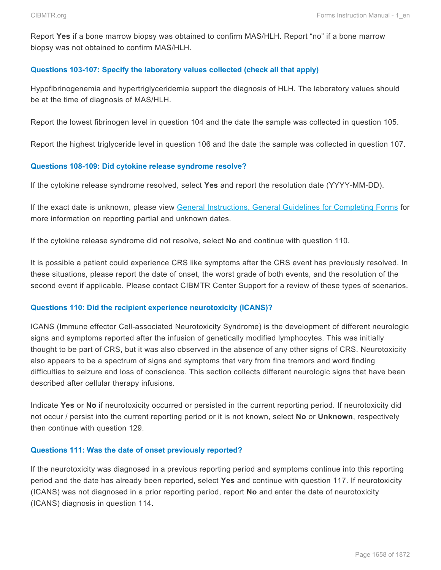Report **Yes** if a bone marrow biopsy was obtained to confirm MAS/HLH. Report "no" if a bone marrow biopsy was not obtained to confirm MAS/HLH.

#### **Questions 103-107: Specify the laboratory values collected (check all that apply)**

Hypofibrinogenemia and hypertriglyceridemia support the diagnosis of HLH. The laboratory values should be at the time of diagnosis of MAS/HLH.

Report the lowest fibrinogen level in question 104 and the date the sample was collected in question 105.

Report the highest triglyceride level in question 106 and the date the sample was collected in question 107.

#### **Questions 108-109: Did cytokine release syndrome resolve?**

If the cytokine release syndrome resolved, select **Yes** and report the resolution date (YYYY-MM-DD).

If the exact date is unknown, please view General Instructions, General Guidelines for Completing Forms for more information on reporting partial and unknown dates.

If the cytokine release syndrome did not resolve, select **No** and continue with question 110.

It is possible a patient could experience CRS like symptoms after the CRS event has previously resolved. In these situations, please report the date of onset, the worst grade of both events, and the resolution of the second event if applicable. Please contact CIBMTR Center Support for a review of these types of scenarios.

#### **Questions 110: Did the recipient experience neurotoxicity (ICANS)?**

ICANS (Immune effector Cell-associated Neurotoxicity Syndrome) is the development of different neurologic signs and symptoms reported after the infusion of genetically modified lymphocytes. This was initially thought to be part of CRS, but it was also observed in the absence of any other signs of CRS. Neurotoxicity also appears to be a spectrum of signs and symptoms that vary from fine tremors and word finding difficulties to seizure and loss of conscience. This section collects different neurologic signs that have been described after cellular therapy infusions.

Indicate **Yes** or **No** if neurotoxicity occurred or persisted in the current reporting period. If neurotoxicity did not occur / persist into the current reporting period or it is not known, select **No** or **Unknown**, respectively then continue with question 129.

#### **Questions 111: Was the date of onset previously reported?**

If the neurotoxicity was diagnosed in a previous reporting period and symptoms continue into this reporting period and the date has already been reported, select **Yes** and continue with question 117. If neurotoxicity (ICANS) was not diagnosed in a prior reporting period, report **No** and enter the date of neurotoxicity (ICANS) diagnosis in question 114.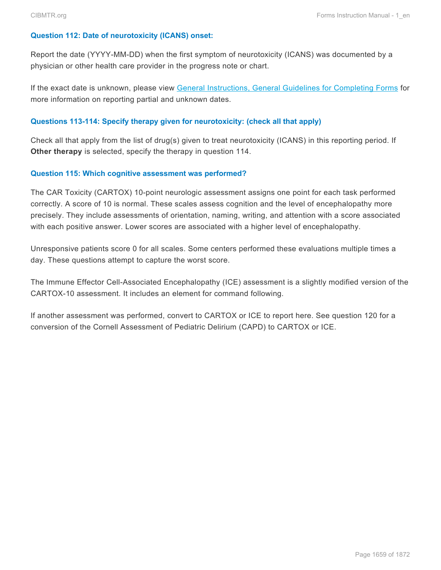### **Question 112: Date of neurotoxicity (ICANS) onset:**

Report the date (YYYY-MM-DD) when the first symptom of neurotoxicity (ICANS) was documented by a physician or other health care provider in the progress note or chart.

If the exact date is unknown, please view General Instructions, General Guidelines for Completing Forms for more information on reporting partial and unknown dates.

### **Questions 113-114: Specify therapy given for neurotoxicity: (check all that apply)**

Check all that apply from the list of drug(s) given to treat neurotoxicity (ICANS) in this reporting period. If **Other therapy** is selected, specify the therapy in question 114.

#### **Question 115: Which cognitive assessment was performed?**

The CAR Toxicity (CARTOX) 10-point neurologic assessment assigns one point for each task performed correctly. A score of 10 is normal. These scales assess cognition and the level of encephalopathy more precisely. They include assessments of orientation, naming, writing, and attention with a score associated with each positive answer. Lower scores are associated with a higher level of encephalopathy.

Unresponsive patients score 0 for all scales. Some centers performed these evaluations multiple times a day. These questions attempt to capture the worst score.

The Immune Effector Cell-Associated Encephalopathy (ICE) assessment is a slightly modified version of the CARTOX-10 assessment. It includes an element for command following.

If another assessment was performed, convert to CARTOX or ICE to report here. See question 120 for a conversion of the Cornell Assessment of Pediatric Delirium (CAPD) to CARTOX or ICE.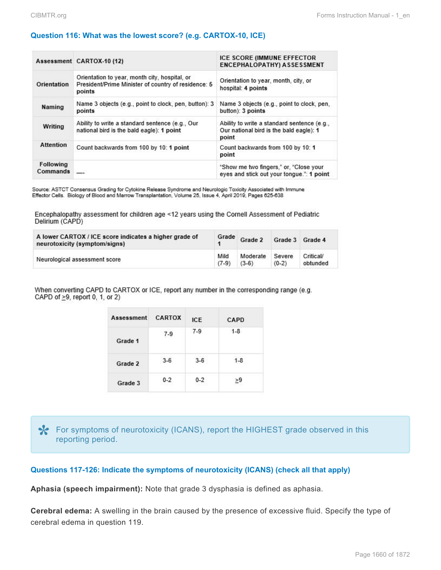### **Question 116: What was the lowest score? (e.g. CARTOX-10, ICE)**

|                       | Assessment CARTOX-10 (12)                                                                                      | <b>ICE SCORE (IMMUNE EFFECTOR</b><br><b>ENCEPHALOPATHY) ASSESSMENT</b>                          |
|-----------------------|----------------------------------------------------------------------------------------------------------------|-------------------------------------------------------------------------------------------------|
| Orientation           | Orientation to year, month city, hospital, or<br>President/Prime Minister of country of residence: 5<br>points | Orientation to year, month, city, or<br>hospital: 4 points                                      |
| Naming                | Name 3 objects (e.g., point to clock, pen, button): 3<br>points                                                | Name 3 objects (e.g., point to clock, pen,<br>button): 3 points                                 |
| Writing               | Ability to write a standard sentence (e.g., Our<br>national bird is the bald eagle): 1 point                   | Ability to write a standard sentence (e.g.,<br>Our national bird is the bald eagle): 1<br>point |
| <b>Attention</b>      | Count backwards from 100 by 10: 1 point                                                                        | Count backwards from 100 by 10: 1<br>point                                                      |
| Following<br>Commands |                                                                                                                | "Show me two fingers," or, "Close your<br>eyes and stick out your tonque.": 1 point             |

Source: ASTCT Consensus Grading for Cytokine Release Syndrome and Neurologic Toxicity Associated with Immune Effector Cells. Biology of Blood and Marrow Transplantation, Volume 25, Issue 4, April 2019, Pages 625-638

Encephalopathy assessment for children age <12 years using the Cornell Assessment of Pediatric Delirium (CAPD)

| A lower CARTOX / ICE score indicates a higher grade of<br>neurotoxicity (symptom/signs) |         | Grade Grade 2 | Grade 3 | Grade 4   |
|-----------------------------------------------------------------------------------------|---------|---------------|---------|-----------|
| Neurological assessment score                                                           | Mild    | Moderate      | Severe  | Critical/ |
|                                                                                         | $(7-9)$ | $(3-6)$       | $(0-2)$ | obtunded  |

When converting CAPD to CARTOX or ICE, report any number in the corresponding range (e.g. CAPD of  $\geq$ 9, report 0, 1, or 2)

| Assessment | <b>CARTOX</b> | ICE     | CAPD    |
|------------|---------------|---------|---------|
| Grade 1    | $7-9$         | $7-9$   | $1 - 8$ |
| Grade 2    | $3-6$         | $3-6$   | $1 - 8$ |
| Grade 3    | $0 - 2$       | $0 - 2$ | ≥9      |

For symptoms of neurotoxicity (ICANS), report the HIGHEST grade observed in this reporting period.

**Questions 117-126: Indicate the symptoms of neurotoxicity (ICANS) (check all that apply)**

**Aphasia (speech impairment):** Note that grade 3 dysphasia is defined as aphasia.

**Cerebral edema:** A swelling in the brain caused by the presence of excessive fluid. Specify the type of cerebral edema in question 119.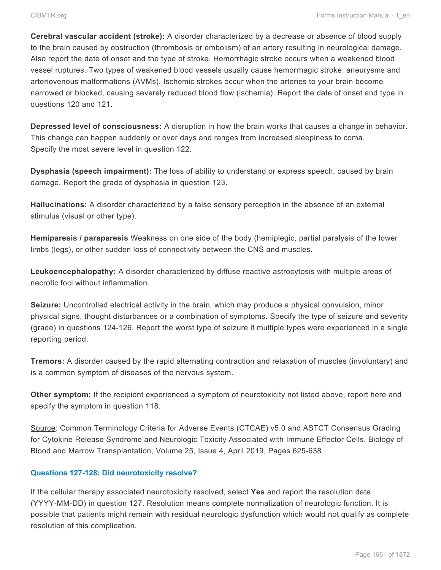**Cerebral vascular accident (stroke):** A disorder characterized by a decrease or absence of blood supply to the brain caused by obstruction (thrombosis or embolism) of an artery resulting in neurological damage. Also report the date of onset and the type of stroke. Hemorrhagic stroke occurs when a weakened blood vessel ruptures. Two types of weakened blood vessels usually cause hemorrhagic stroke: aneurysms and arteriovenous malformations (AVMs). Ischemic strokes occur when the arteries to your brain become narrowed or blocked, causing severely reduced blood flow (ischemia). Report the date of onset and type in questions 120 and 121.

**Depressed level of consciousness:** A disruption in how the brain works that causes a change in behavior. This change can happen suddenly or over days and ranges from increased sleepiness to coma. Specify the most severe level in question 122.

**Dysphasia (speech impairment):** The loss of ability to understand or express speech, caused by brain damage. Report the grade of dysphasia in question 123.

**Hallucinations:** A disorder characterized by a false sensory perception in the absence of an external stimulus (visual or other type).

**Hemiparesis / paraparesis** Weakness on one side of the body (hemiplegic, partial paralysis of the lower limbs (legs), or other sudden loss of connectivity between the CNS and muscles.

**Leukoencephalopathy:** A disorder characterized by diffuse reactive astrocytosis with multiple areas of necrotic foci without inflammation.

**Seizure:** Uncontrolled electrical activity in the brain, which may produce a physical convulsion, minor physical signs, thought disturbances or a combination of symptoms. Specify the type of seizure and severity (grade) in questions 124-126. Report the worst type of seizure if multiple types were experienced in a single reporting period.

**Tremors:** A disorder caused by the rapid alternating contraction and relaxation of muscles (involuntary) and is a common symptom of diseases of the nervous system.

**Other symptom:** If the recipient experienced a symptom of neurotoxicity not listed above, report here and specify the symptom in question 118.

Source: Common Terminology Criteria for Adverse Events (CTCAE) v5.0 and ASTCT Consensus Grading for Cytokine Release Syndrome and Neurologic Toxicity Associated with Immune Effector Cells. Biology of Blood and Marrow Transplantation, Volume 25, Issue 4, April 2019, Pages 625-638

# **Questions 127-128: Did neurotoxicity resolve?**

If the cellular therapy associated neurotoxicity resolved, select **Yes** and report the resolution date (YYYY-MM-DD) in question 127. Resolution means complete normalization of neurologic function. It is possible that patients might remain with residual neurologic dysfunction which would not qualify as complete resolution of this complication.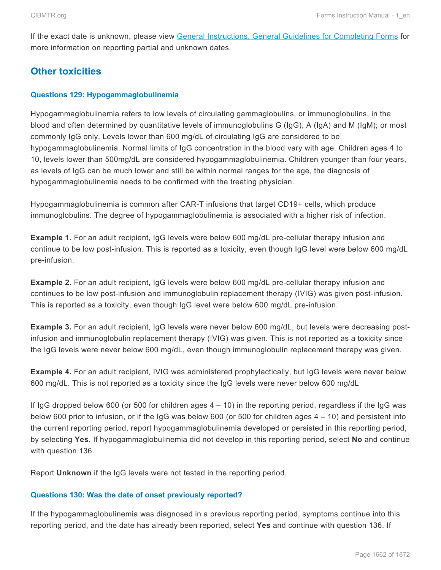If the exact date is unknown, please view General Instructions, General Guidelines for Completing Forms for more information on reporting partial and unknown dates.

# **Other toxicities**

### **Questions 129: Hypogammaglobulinemia**

Hypogammaglobulinemia refers to low levels of circulating gammaglobulins, or immunoglobulins, in the blood and often determined by quantitative levels of immunoglobulins G (IgG), A (IgA) and M (IgM); or most commonly IgG only. Levels lower than 600 mg/dL of circulating IgG are considered to be hypogammaglobulinemia. Normal limits of IgG concentration in the blood vary with age. Children ages 4 to 10, levels lower than 500mg/dL are considered hypogammaglobulinemia. Children younger than four years, as levels of IgG can be much lower and still be within normal ranges for the age, the diagnosis of hypogammaglobulinemia needs to be confirmed with the treating physician.

Hypogammaglobulinemia is common after CAR-T infusions that target CD19+ cells, which produce immunoglobulins. The degree of hypogammaglobulinemia is associated with a higher risk of infection.

**Example 1.** For an adult recipient, IgG levels were below 600 mg/dL pre-cellular therapy infusion and continue to be low post-infusion. This is reported as a toxicity, even though IgG level were below 600 mg/dL pre-infusion.

**Example 2.** For an adult recipient, IgG levels were below 600 mg/dL pre-cellular therapy infusion and continues to be low post-infusion and immunoglobulin replacement therapy (IVIG) was given post-infusion. This is reported as a toxicity, even though IgG level were below 600 mg/dL pre-infusion.

**Example 3.** For an adult recipient, IgG levels were never below 600 mg/dL, but levels were decreasing postinfusion and immunoglobulin replacement therapy (IVIG) was given. This is not reported as a toxicity since the IgG levels were never below 600 mg/dL, even though immunoglobulin replacement therapy was given.

**Example 4.** For an adult recipient, IVIG was administered prophylactically, but IgG levels were never below 600 mg/dL. This is not reported as a toxicity since the IgG levels were never below 600 mg/dL

If IgG dropped below 600 (or 500 for children ages  $4 - 10$ ) in the reporting period, regardless if the IgG was below 600 prior to infusion, or if the IgG was below 600 (or 500 for children ages 4 – 10) and persistent into the current reporting period, report hypogammaglobulinemia developed or persisted in this reporting period, by selecting **Yes**. If hypogammaglobulinemia did not develop in this reporting period, select **No** and continue with question 136.

Report **Unknown** if the IgG levels were not tested in the reporting period.

#### **Questions 130: Was the date of onset previously reported?**

If the hypogammaglobulinemia was diagnosed in a previous reporting period, symptoms continue into this reporting period, and the date has already been reported, select **Yes** and continue with question 136. If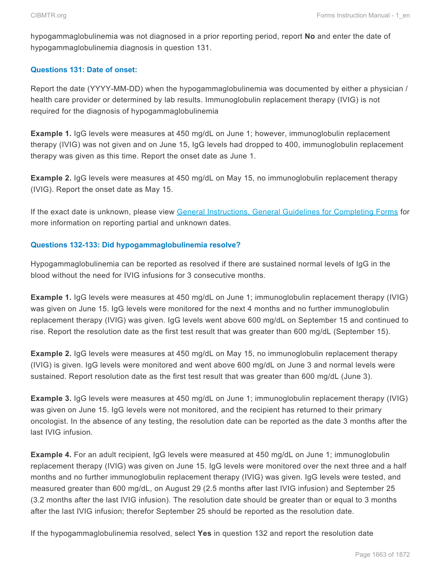hypogammaglobulinemia was not diagnosed in a prior reporting period, report **No** and enter the date of hypogammaglobulinemia diagnosis in question 131.

## **Questions 131: Date of onset:**

Report the date (YYYY-MM-DD) when the hypogammaglobulinemia was documented by either a physician / health care provider or determined by lab results. Immunoglobulin replacement therapy (IVIG) is not required for the diagnosis of hypogammaglobulinemia

**Example 1.** IgG levels were measures at 450 mg/dL on June 1; however, immunoglobulin replacement therapy (IVIG) was not given and on June 15, IgG levels had dropped to 400, immunoglobulin replacement therapy was given as this time. Report the onset date as June 1.

**Example 2.** IgG levels were measures at 450 mg/dL on May 15, no immunoglobulin replacement therapy (IVIG). Report the onset date as May 15.

If the exact date is unknown, please view General Instructions, General Guidelines for Completing Forms for more information on reporting partial and unknown dates.

## **Questions 132-133: Did hypogammaglobulinemia resolve?**

Hypogammaglobulinemia can be reported as resolved if there are sustained normal levels of IgG in the blood without the need for IVIG infusions for 3 consecutive months.

**Example 1.** IgG levels were measures at 450 mg/dL on June 1; immunoglobulin replacement therapy (IVIG) was given on June 15. IgG levels were monitored for the next 4 months and no further immunoglobulin replacement therapy (IVIG) was given. IgG levels went above 600 mg/dL on September 15 and continued to rise. Report the resolution date as the first test result that was greater than 600 mg/dL (September 15).

**Example 2.** IgG levels were measures at 450 mg/dL on May 15, no immunoglobulin replacement therapy (IVIG) is given. IgG levels were monitored and went above 600 mg/dL on June 3 and normal levels were sustained. Report resolution date as the first test result that was greater than 600 mg/dL (June 3).

**Example 3.** IgG levels were measures at 450 mg/dL on June 1; immunoglobulin replacement therapy (IVIG) was given on June 15. IgG levels were not monitored, and the recipient has returned to their primary oncologist. In the absence of any testing, the resolution date can be reported as the date 3 months after the last IVIG infusion.

**Example 4.** For an adult recipient, IgG levels were measured at 450 mg/dL on June 1; immunoglobulin replacement therapy (IVIG) was given on June 15. IgG levels were monitored over the next three and a half months and no further immunoglobulin replacement therapy (IVIG) was given. IgG levels were tested, and measured greater than 600 mg/dL, on August 29 (2.5 months after last IVIG infusion) and September 25 (3.2 months after the last IVIG infusion). The resolution date should be greater than or equal to 3 months after the last IVIG infusion; therefor September 25 should be reported as the resolution date.

If the hypogammaglobulinemia resolved, select **Yes** in question 132 and report the resolution date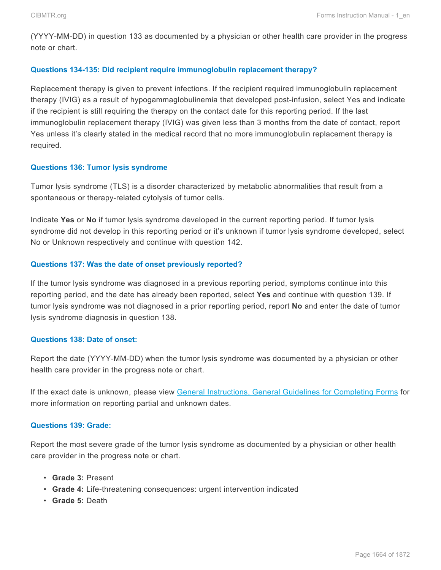(YYYY-MM-DD) in question 133 as documented by a physician or other health care provider in the progress note or chart.

### **Questions 134-135: Did recipient require immunoglobulin replacement therapy?**

Replacement therapy is given to prevent infections. If the recipient required immunoglobulin replacement therapy (IVIG) as a result of hypogammaglobulinemia that developed post-infusion, select Yes and indicate if the recipient is still requiring the therapy on the contact date for this reporting period. If the last immunoglobulin replacement therapy (IVIG) was given less than 3 months from the date of contact, report Yes unless it's clearly stated in the medical record that no more immunoglobulin replacement therapy is required.

### **Questions 136: Tumor lysis syndrome**

Tumor lysis syndrome (TLS) is a disorder characterized by metabolic abnormalities that result from a spontaneous or therapy-related cytolysis of tumor cells.

Indicate **Yes** or **No** if tumor lysis syndrome developed in the current reporting period. If tumor lysis syndrome did not develop in this reporting period or it's unknown if tumor lysis syndrome developed, select No or Unknown respectively and continue with question 142.

### **Questions 137: Was the date of onset previously reported?**

If the tumor lysis syndrome was diagnosed in a previous reporting period, symptoms continue into this reporting period, and the date has already been reported, select **Yes** and continue with question 139. If tumor lysis syndrome was not diagnosed in a prior reporting period, report **No** and enter the date of tumor lysis syndrome diagnosis in question 138.

#### **Questions 138: Date of onset:**

Report the date (YYYY-MM-DD) when the tumor lysis syndrome was documented by a physician or other health care provider in the progress note or chart.

If the exact date is unknown, please view General Instructions, General Guidelines for Completing Forms for more information on reporting partial and unknown dates.

### **Questions 139: Grade:**

Report the most severe grade of the tumor lysis syndrome as documented by a physician or other health care provider in the progress note or chart.

- **Grade 3:** Present
- **Grade 4:** Life-threatening consequences: urgent intervention indicated
- **Grade 5:** Death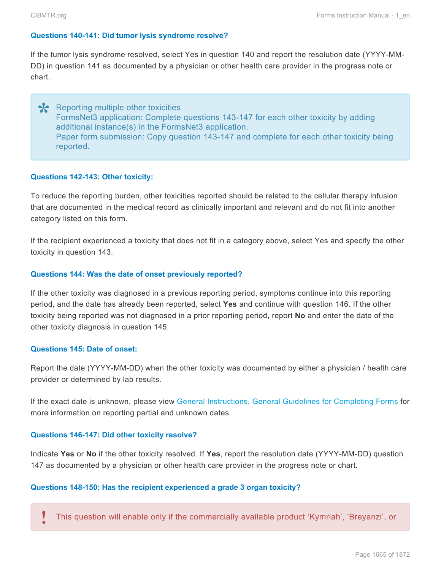#### **Questions 140-141: Did tumor lysis syndrome resolve?**

If the tumor lysis syndrome resolved, select Yes in question 140 and report the resolution date (YYYY-MM-DD) in question 141 as documented by a physician or other health care provider in the progress note or chart.

\* Reporting multiple other toxicities<br>
FormsNet3 application: Complete FormsNet3 application: Complete questions 143-147 for each other toxicity by adding additional instance(s) in the FormsNet3 application. Paper form submission: Copy question 143-147 and complete for each other toxicity being reported.

#### **Questions 142-143: Other toxicity:**

To reduce the reporting burden, other toxicities reported should be related to the cellular therapy infusion that are documented in the medical record as clinically important and relevant and do not fit into another category listed on this form.

If the recipient experienced a toxicity that does not fit in a category above, select Yes and specify the other toxicity in question 143.

#### **Questions 144: Was the date of onset previously reported?**

If the other toxicity was diagnosed in a previous reporting period, symptoms continue into this reporting period, and the date has already been reported, select **Yes** and continue with question 146. If the other toxicity being reported was not diagnosed in a prior reporting period, report **No** and enter the date of the other toxicity diagnosis in question 145.

#### **Questions 145: Date of onset:**

Report the date (YYYY-MM-DD) when the other toxicity was documented by either a physician / health care provider or determined by lab results.

If the exact date is unknown, please view General Instructions, General Guidelines for Completing Forms for more information on reporting partial and unknown dates.

#### **Questions 146-147: Did other toxicity resolve?**

Indicate **Yes** or **No** if the other toxicity resolved. If **Yes**, report the resolution date (YYYY-MM-DD) question 147 as documented by a physician or other health care provider in the progress note or chart.

#### **Questions 148-150: Has the recipient experienced a grade 3 organ toxicity?**

This question will enable only if the commercially available product 'Kymriah', 'Breyanzi', or **!**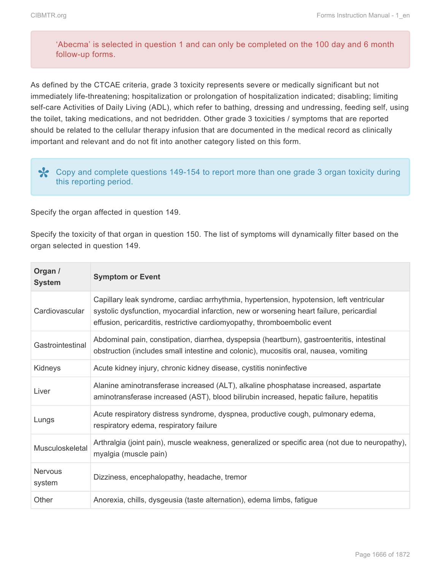## 'Abecma' is selected in question 1 and can only be completed on the 100 day and 6 month follow-up forms.

As defined by the CTCAE criteria, grade 3 toxicity represents severe or medically significant but not immediately life-threatening; hospitalization or prolongation of hospitalization indicated; disabling; limiting self-care Activities of Daily Living (ADL), which refer to bathing, dressing and undressing, feeding self, using the toilet, taking medications, and not bedridden. Other grade 3 toxicities / symptoms that are reported should be related to the cellular therapy infusion that are documented in the medical record as clinically important and relevant and do not fit into another category listed on this form.

Copy and complete questions 149-154 to report more than one grade 3 organ toxicity during **\*** this reporting period.

Specify the organ affected in question 149.

Specify the toxicity of that organ in question 150. The list of symptoms will dynamically filter based on the organ selected in question 149.

| Organ /<br><b>System</b> | <b>Symptom or Event</b>                                                                                                                                                                                                                                          |
|--------------------------|------------------------------------------------------------------------------------------------------------------------------------------------------------------------------------------------------------------------------------------------------------------|
| Cardiovascular           | Capillary leak syndrome, cardiac arrhythmia, hypertension, hypotension, left ventricular<br>systolic dysfunction, myocardial infarction, new or worsening heart failure, pericardial<br>effusion, pericarditis, restrictive cardiomyopathy, thromboembolic event |
| Gastrointestinal         | Abdominal pain, constipation, diarrhea, dyspepsia (heartburn), gastroenteritis, intestinal<br>obstruction (includes small intestine and colonic), mucositis oral, nausea, vomiting                                                                               |
| Kidneys                  | Acute kidney injury, chronic kidney disease, cystitis noninfective                                                                                                                                                                                               |
| Liver                    | Alanine aminotransferase increased (ALT), alkaline phosphatase increased, aspartate<br>aminotransferase increased (AST), blood bilirubin increased, hepatic failure, hepatitis                                                                                   |
| Lungs                    | Acute respiratory distress syndrome, dyspnea, productive cough, pulmonary edema,<br>respiratory edema, respiratory failure                                                                                                                                       |
| Musculoskeletal          | Arthralgia (joint pain), muscle weakness, generalized or specific area (not due to neuropathy),<br>myalgia (muscle pain)                                                                                                                                         |
| <b>Nervous</b><br>system | Dizziness, encephalopathy, headache, tremor                                                                                                                                                                                                                      |
| Other                    | Anorexia, chills, dysgeusia (taste alternation), edema limbs, fatigue                                                                                                                                                                                            |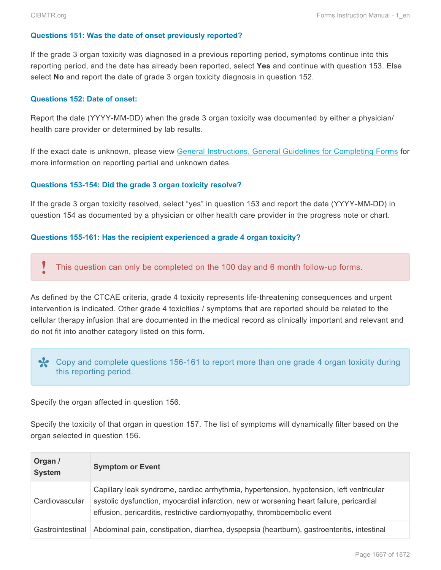#### **Questions 151: Was the date of onset previously reported?**

If the grade 3 organ toxicity was diagnosed in a previous reporting period, symptoms continue into this reporting period, and the date has already been reported, select **Yes** and continue with question 153. Else select **No** and report the date of grade 3 organ toxicity diagnosis in question 152.

#### **Questions 152: Date of onset:**

Report the date (YYYY-MM-DD) when the grade 3 organ toxicity was documented by either a physician/ health care provider or determined by lab results.

If the exact date is unknown, please view General Instructions, General Guidelines for Completing Forms for more information on reporting partial and unknown dates.

#### **Questions 153-154: Did the grade 3 organ toxicity resolve?**

If the grade 3 organ toxicity resolved, select "yes" in question 153 and report the date (YYYY-MM-DD) in question 154 as documented by a physician or other health care provider in the progress note or chart.

#### **Questions 155-161: Has the recipient experienced a grade 4 organ toxicity?**

This question can only be completed on the 100 day and 6 month follow-up forms. **!**

As defined by the CTCAE criteria, grade 4 toxicity represents life-threatening consequences and urgent intervention is indicated. Other grade 4 toxicities / symptoms that are reported should be related to the cellular therapy infusion that are documented in the medical record as clinically important and relevant and do not fit into another category listed on this form.

Copy and complete questions 156-161 to report more than one grade 4 organ toxicity during **\*** this reporting period.

Specify the organ affected in question 156.

Specify the toxicity of that organ in question 157. The list of symptoms will dynamically filter based on the organ selected in question 156.

| Organ /<br><b>System</b> | <b>Symptom or Event</b>                                                                                                                                                                                                                                          |
|--------------------------|------------------------------------------------------------------------------------------------------------------------------------------------------------------------------------------------------------------------------------------------------------------|
| Cardiovascular           | Capillary leak syndrome, cardiac arrhythmia, hypertension, hypotension, left ventricular<br>systolic dysfunction, myocardial infarction, new or worsening heart failure, pericardial<br>effusion, pericarditis, restrictive cardiomyopathy, thromboembolic event |
| Gastrointestinal         | Abdominal pain, constipation, diarrhea, dyspepsia (heartburn), gastroenteritis, intestinal                                                                                                                                                                       |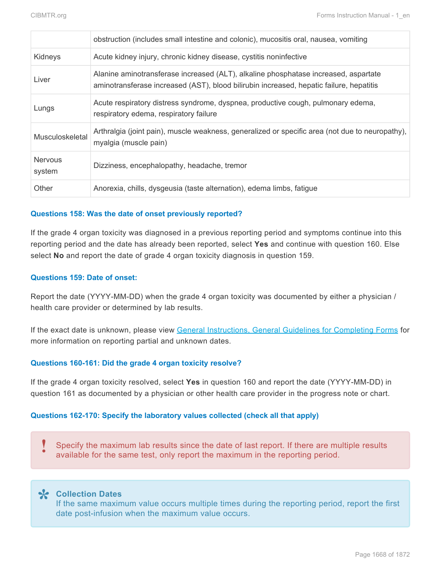|                          | obstruction (includes small intestine and colonic), mucositis oral, nausea, vomiting                                                                                           |
|--------------------------|--------------------------------------------------------------------------------------------------------------------------------------------------------------------------------|
| Kidneys                  | Acute kidney injury, chronic kidney disease, cystitis noninfective                                                                                                             |
| Liver                    | Alanine aminotransferase increased (ALT), alkaline phosphatase increased, aspartate<br>aminotransferase increased (AST), blood bilirubin increased, hepatic failure, hepatitis |
| Lungs                    | Acute respiratory distress syndrome, dyspnea, productive cough, pulmonary edema,<br>respiratory edema, respiratory failure                                                     |
| Musculoskeletal          | Arthralgia (joint pain), muscle weakness, generalized or specific area (not due to neuropathy),<br>myalgia (muscle pain)                                                       |
| <b>Nervous</b><br>system | Dizziness, encephalopathy, headache, tremor                                                                                                                                    |
| Other                    | Anorexia, chills, dysgeusia (taste alternation), edema limbs, fatigue                                                                                                          |

#### **Questions 158: Was the date of onset previously reported?**

If the grade 4 organ toxicity was diagnosed in a previous reporting period and symptoms continue into this reporting period and the date has already been reported, select **Yes** and continue with question 160. Else select **No** and report the date of grade 4 organ toxicity diagnosis in question 159.

#### **Questions 159: Date of onset:**

Report the date (YYYY-MM-DD) when the grade 4 organ toxicity was documented by either a physician / health care provider or determined by lab results.

If the exact date is unknown, please view General Instructions, General Guidelines for Completing Forms for more information on reporting partial and unknown dates.

#### **Questions 160-161: Did the grade 4 organ toxicity resolve?**

If the grade 4 organ toxicity resolved, select **Yes** in question 160 and report the date (YYYY-MM-DD) in question 161 as documented by a physician or other health care provider in the progress note or chart.

### **Questions 162-170: Specify the laboratory values collected (check all that apply)**

Specify the maximum lab results since the date of last report. If there are multiple results<br>available for the same test, only report the maximum in the reporting period.

**Collection Dates \*** If the same maximum value occurs multiple times during the reporting period, report the first date post-infusion when the maximum value occurs.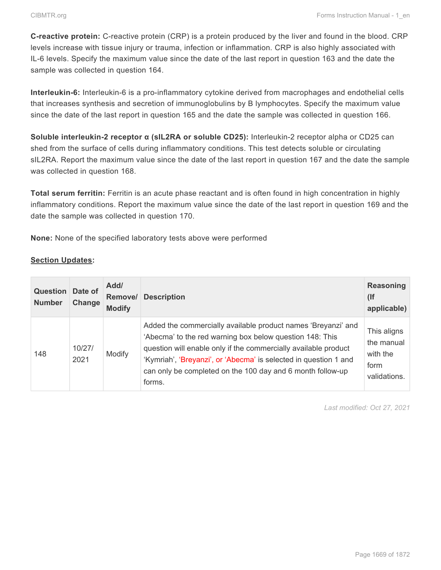**C-reactive protein:** C-reactive protein (CRP) is a protein produced by the liver and found in the blood. CRP levels increase with tissue injury or trauma, infection or inflammation. CRP is also highly associated with IL-6 levels. Specify the maximum value since the date of the last report in question 163 and the date the sample was collected in question 164.

**Interleukin-6:** Interleukin-6 is a pro-inflammatory cytokine derived from macrophages and endothelial cells that increases synthesis and secretion of immunoglobulins by B lymphocytes. Specify the maximum value since the date of the last report in question 165 and the date the sample was collected in question 166.

**Soluble interleukin-2 receptor α (sIL2RA or soluble CD25):** Interleukin-2 receptor alpha or CD25 can shed from the surface of cells during inflammatory conditions. This test detects soluble or circulating sIL2RA. Report the maximum value since the date of the last report in question 167 and the date the sample was collected in question 168.

**Total serum ferritin:** Ferritin is an acute phase reactant and is often found in high concentration in highly inflammatory conditions. Report the maximum value since the date of the last report in question 169 and the date the sample was collected in question 170.

**None:** None of the specified laboratory tests above were performed

### **Section Updates:**

| <b>Question</b><br><b>Number</b> | Date of<br>Change | Add/<br>Remove/<br><b>Modify</b> | <b>Description</b>                                                                                                                                                                                                                                                                                                                       | <b>Reasoning</b><br>(<br>applicable)                          |
|----------------------------------|-------------------|----------------------------------|------------------------------------------------------------------------------------------------------------------------------------------------------------------------------------------------------------------------------------------------------------------------------------------------------------------------------------------|---------------------------------------------------------------|
| 148                              | 10/27/<br>2021    | Modify                           | Added the commercially available product names 'Breyanzi' and<br>'Abecma' to the red warning box below question 148: This<br>question will enable only if the commercially available product<br>'Kymriah', 'Breyanzi', or 'Abecma' is selected in question 1 and<br>can only be completed on the 100 day and 6 month follow-up<br>forms. | This aligns<br>the manual<br>with the<br>form<br>validations. |

*Last modified: Oct 27, 2021*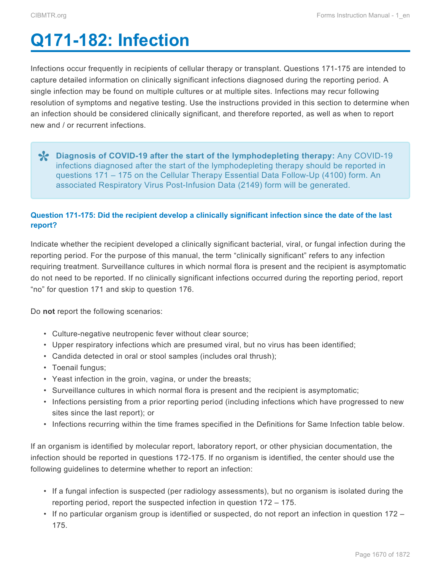# <span id="page-58-0"></span>**Q171-182: Infection**

Infections occur frequently in recipients of cellular therapy or transplant. Questions 171-175 are intended to capture detailed information on clinically significant infections diagnosed during the reporting period. A single infection may be found on multiple cultures or at multiple sites. Infections may recur following resolution of symptoms and negative testing. Use the instructions provided in this section to determine when an infection should be considered clinically significant, and therefore reported, as well as when to report new and / or recurrent infections.

**Policy COVID-19 after the start of the lymphodepleting therapy:** Any COVID-19<br>
infections diagnosed after the start of the lymphodepleting therapy should be reported in infections diagnosed after the start of the lymphodepleting therapy should be reported in questions 171 – 175 on the Cellular Therapy Essential Data Follow-Up (4100) form. An associated Respiratory Virus Post-Infusion Data (2149) form will be generated.

## **Question 171-175: Did the recipient develop a clinically significant infection since the date of the last report?**

Indicate whether the recipient developed a clinically significant bacterial, viral, or fungal infection during the reporting period. For the purpose of this manual, the term "clinically significant" refers to any infection requiring treatment. Surveillance cultures in which normal flora is present and the recipient is asymptomatic do not need to be reported. If no clinically significant infections occurred during the reporting period, report "no" for question 171 and skip to question 176.

Do **not** report the following scenarios:

- Culture-negative neutropenic fever without clear source;
- Upper respiratory infections which are presumed viral, but no virus has been identified;
- Candida detected in oral or stool samples (includes oral thrush);
- Toenail fungus;
- Yeast infection in the groin, vagina, or under the breasts;
- Surveillance cultures in which normal flora is present and the recipient is asymptomatic;
- Infections persisting from a prior reporting period (including infections which have progressed to new sites since the last report); or
- Infections recurring within the time frames specified in the Definitions for Same Infection table below.

If an organism is identified by molecular report, laboratory report, or other physician documentation, the infection should be reported in questions 172-175. If no organism is identified, the center should use the following guidelines to determine whether to report an infection:

- If a fungal infection is suspected (per radiology assessments), but no organism is isolated during the reporting period, report the suspected infection in question 172 – 175.
- If no particular organism group is identified or suspected, do not report an infection in question 172 175.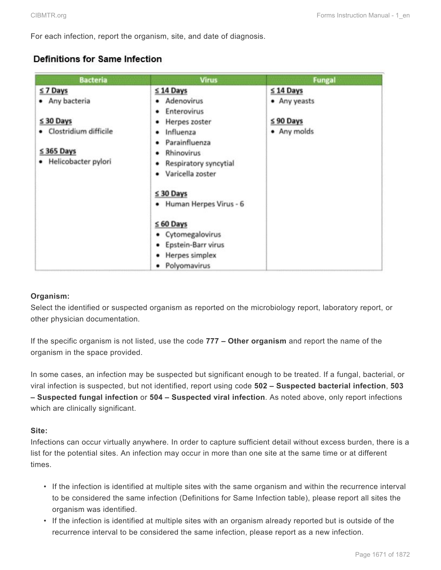For each infection, report the organism, site, and date of diagnosis.

# Definitions for Same Infection

| <b>Bacteria</b>                                                     | <b>Virus</b>                                                                          | <b>Fungal</b> |
|---------------------------------------------------------------------|---------------------------------------------------------------------------------------|---------------|
| $≤ 7$ Days                                                          | $≤ 14$ Days                                                                           | $≤ 14$ Days   |
| • Any bacteria                                                      | • Adenovirus<br>Enterovirus<br>٠                                                      | • Any yeasts  |
| $≤ 30$ Days                                                         | Herpes zoster<br>٠                                                                    | $≤$ 90 Days   |
| · Clostridium difficile<br>$\leq$ 365 Days<br>· Helicobacter pylori | Influenza<br>٠<br>Parainfluenza<br>٠<br>Rhinovirus<br>٠<br>Respiratory syncytial<br>٠ | • Any molds   |
|                                                                     | Varicella zoster<br>٠<br>$\leq 30$ Days                                               |               |
|                                                                     | • Human Herpes Virus - 6                                                              |               |
|                                                                     | $\leq 60$ Days                                                                        |               |
|                                                                     | • Cytomegalovirus                                                                     |               |
|                                                                     | Epstein-Barr virus<br>٠                                                               |               |
|                                                                     | Herpes simplex<br>٠                                                                   |               |
|                                                                     | Polyomavirus<br>٠                                                                     |               |

### **Organism:**

Select the identified or suspected organism as reported on the microbiology report, laboratory report, or other physician documentation.

If the specific organism is not listed, use the code **777 – Other organism** and report the name of the organism in the space provided.

In some cases, an infection may be suspected but significant enough to be treated. If a fungal, bacterial, or viral infection is suspected, but not identified, report using code **502 – Suspected bacterial infection**, **503 – Suspected fungal infection** or **504 – Suspected viral infection**. As noted above, only report infections which are clinically significant.

### **Site:**

Infections can occur virtually anywhere. In order to capture sufficient detail without excess burden, there is a list for the potential sites. An infection may occur in more than one site at the same time or at different times.

- If the infection is identified at multiple sites with the same organism and within the recurrence interval to be considered the same infection (Definitions for Same Infection table), please report all sites the organism was identified.
- If the infection is identified at multiple sites with an organism already reported but is outside of the recurrence interval to be considered the same infection, please report as a new infection.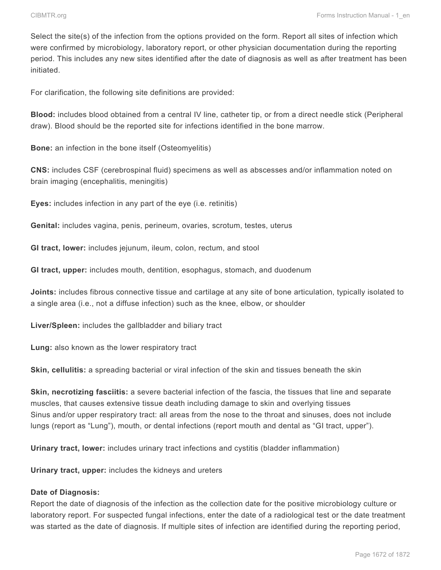Select the site(s) of the infection from the options provided on the form. Report all sites of infection which were confirmed by microbiology, laboratory report, or other physician documentation during the reporting period. This includes any new sites identified after the date of diagnosis as well as after treatment has been initiated.

For clarification, the following site definitions are provided:

**Blood:** includes blood obtained from a central IV line, catheter tip, or from a direct needle stick (Peripheral draw). Blood should be the reported site for infections identified in the bone marrow.

**Bone:** an infection in the bone itself (Osteomyelitis)

**CNS:** includes CSF (cerebrospinal fluid) specimens as well as abscesses and/or inflammation noted on brain imaging (encephalitis, meningitis)

**Eyes:** includes infection in any part of the eye (i.e. retinitis)

**Genital:** includes vagina, penis, perineum, ovaries, scrotum, testes, uterus

**GI tract, lower:** includes jejunum, ileum, colon, rectum, and stool

**GI tract, upper:** includes mouth, dentition, esophagus, stomach, and duodenum

**Joints:** includes fibrous connective tissue and cartilage at any site of bone articulation, typically isolated to a single area (i.e., not a diffuse infection) such as the knee, elbow, or shoulder

**Liver/Spleen:** includes the gallbladder and biliary tract

**Lung:** also known as the lower respiratory tract

**Skin, cellulitis:** a spreading bacterial or viral infection of the skin and tissues beneath the skin

**Skin, necrotizing fasciitis:** a severe bacterial infection of the fascia, the tissues that line and separate muscles, that causes extensive tissue death including damage to skin and overlying tissues Sinus and/or upper respiratory tract: all areas from the nose to the throat and sinuses, does not include lungs (report as "Lung"), mouth, or dental infections (report mouth and dental as "GI tract, upper").

**Urinary tract, lower:** includes urinary tract infections and cystitis (bladder inflammation)

**Urinary tract, upper:** includes the kidneys and ureters

#### **Date of Diagnosis:**

Report the date of diagnosis of the infection as the collection date for the positive microbiology culture or laboratory report. For suspected fungal infections, enter the date of a radiological test or the date treatment was started as the date of diagnosis. If multiple sites of infection are identified during the reporting period,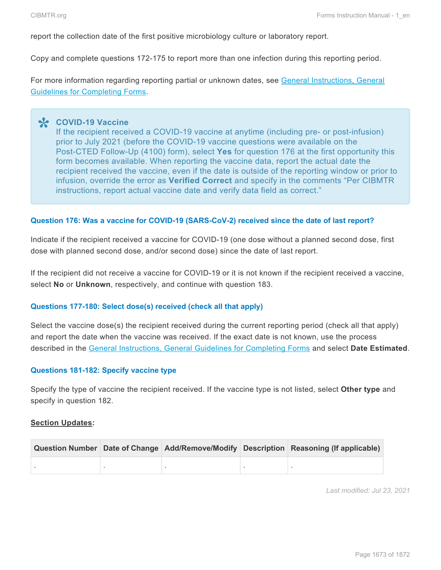report the collection date of the first positive microbiology culture or laboratory report.

Copy and complete questions 172-175 to report more than one infection during this reporting period.

For more information regarding reporting partial or unknown dates, see General Instructions, General Guidelines for Completing Forms.

**COVID-19 Vaccine \*** If the recipient received a COVID-19 vaccine at anytime (including pre- or post-infusion) prior to July 2021 (before the COVID-19 vaccine questions were available on the Post-CTED Follow-Up (4100) form), select **Yes** for question 176 at the first opportunity this form becomes available. When reporting the vaccine data, report the actual date the recipient received the vaccine, even if the date is outside of the reporting window or prior to infusion, override the error as **Verified Correct** and specify in the comments "Per CIBMTR instructions, report actual vaccine date and verify data field as correct."

#### **Question 176: Was a vaccine for COVID-19 (SARS-CoV-2) received since the date of last report?**

Indicate if the recipient received a vaccine for COVID-19 (one dose without a planned second dose, first dose with planned second dose, and/or second dose) since the date of last report.

If the recipient did not receive a vaccine for COVID-19 or it is not known if the recipient received a vaccine, select **No** or **Unknown**, respectively, and continue with question 183.

#### **Questions 177-180: Select dose(s) received (check all that apply)**

Select the vaccine dose(s) the recipient received during the current reporting period (check all that apply) and report the date when the vaccine was received. If the exact date is not known, use the process described in the General Instructions, General Guidelines for Completing Forms and select **Date Estimated**.

#### **Questions 181-182: Specify vaccine type**

Specify the type of vaccine the recipient received. If the vaccine type is not listed, select **Other type** and specify in question 182.

#### **Section Updates:**

|  |  | Question Number Date of Change Add/Remove/Modify Description Reasoning (If applicable) |
|--|--|----------------------------------------------------------------------------------------|
|  |  |                                                                                        |

*Last modified: Jul 23, 2021*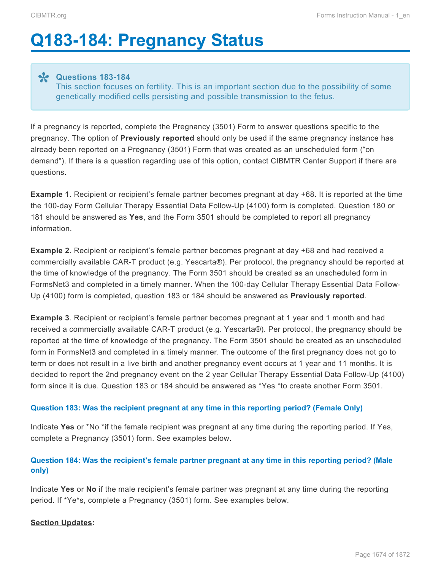# <span id="page-62-0"></span>**Q183-184: Pregnancy Status**

**Questions 183-184 \*** This section focuses on fertility. This is an important section due to the possibility of some genetically modified cells persisting and possible transmission to the fetus.

If a pregnancy is reported, complete the Pregnancy (3501) Form to answer questions specific to the pregnancy. The option of **Previously reported** should only be used if the same pregnancy instance has already been reported on a Pregnancy (3501) Form that was created as an unscheduled form ("on demand"). If there is a question regarding use of this option, contact CIBMTR Center Support if there are questions.

**Example 1.** Recipient or recipient's female partner becomes pregnant at day +68. It is reported at the time the 100-day Form Cellular Therapy Essential Data Follow-Up (4100) form is completed. Question 180 or 181 should be answered as **Yes**, and the Form 3501 should be completed to report all pregnancy information.

**Example 2.** Recipient or recipient's female partner becomes pregnant at day +68 and had received a commercially available CAR-T product (e.g. Yescarta®). Per protocol, the pregnancy should be reported at the time of knowledge of the pregnancy. The Form 3501 should be created as an unscheduled form in FormsNet3 and completed in a timely manner. When the 100-day Cellular Therapy Essential Data Follow-Up (4100) form is completed, question 183 or 184 should be answered as **Previously reported**.

**Example 3**. Recipient or recipient's female partner becomes pregnant at 1 year and 1 month and had received a commercially available CAR-T product (e.g. Yescarta®). Per protocol, the pregnancy should be reported at the time of knowledge of the pregnancy. The Form 3501 should be created as an unscheduled form in FormsNet3 and completed in a timely manner. The outcome of the first pregnancy does not go to term or does not result in a live birth and another pregnancy event occurs at 1 year and 11 months. It is decided to report the 2nd pregnancy event on the 2 year Cellular Therapy Essential Data Follow-Up (4100) form since it is due. Question 183 or 184 should be answered as \*Yes \*to create another Form 3501.

### **Question 183: Was the recipient pregnant at any time in this reporting period? (Female Only)**

Indicate **Yes** or \*No \*if the female recipient was pregnant at any time during the reporting period. If Yes, complete a Pregnancy (3501) form. See examples below.

## **Question 184: Was the recipient's female partner pregnant at any time in this reporting period? (Male only)**

Indicate **Yes** or **No** if the male recipient's female partner was pregnant at any time during the reporting period. If \*Ye\*s, complete a Pregnancy (3501) form. See examples below.

### **Section Updates:**